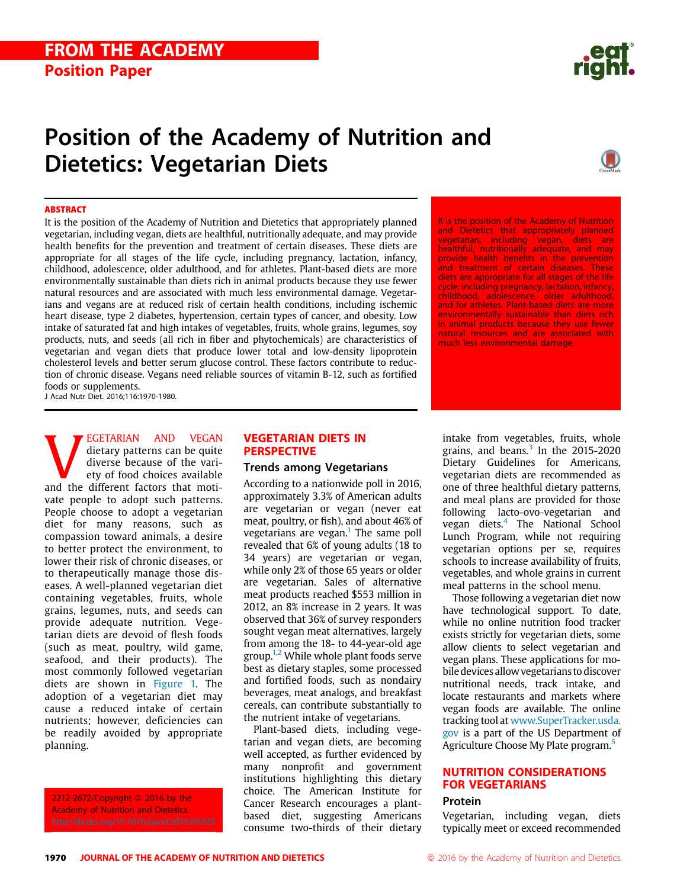

# Position of the Academy of Nutrition and Dietetics: Vegetarian Diets

#### **ABSTRACT**

It is the position of the Academy of Nutrition and Dietetics that appropriately planned vegetarian, including vegan, diets are healthful, nutritionally adequate, and may provide health benefits for the prevention and treatment of certain diseases. These diets are appropriate for all stages of the life cycle, including pregnancy, lactation, infancy, childhood, adolescence, older adulthood, and for athletes. Plant-based diets are more environmentally sustainable than diets rich in animal products because they use fewer natural resources and are associated with much less environmental damage. Vegetarians and vegans are at reduced risk of certain health conditions, including ischemic heart disease, type 2 diabetes, hypertension, certain types of cancer, and obesity. Low intake of saturated fat and high intakes of vegetables, fruits, whole grains, legumes, soy products, nuts, and seeds (all rich in fiber and phytochemicals) are characteristics of vegetarian and vegan diets that produce lower total and low-density lipoprotein cholesterol levels and better serum glucose control. These factors contribute to reduction of chronic disease. Vegans need reliable sources of vitamin B-12, such as fortified foods or supplements.

J Acad Nutr Diet. 2016;116:1970-1980.

**VEGETARIAN AND VEGAN**<br>dietary patterns can be quite<br>diverse because of the vari-<br>ety of food choices available<br>and the different factors that moti-EGETARIAN AND VEGAN dietary patterns can be quite diverse because of the variety of food choices available vate people to adopt such patterns. People choose to adopt a vegetarian diet for many reasons, such as compassion toward animals, a desire to better protect the environment, to lower their risk of chronic diseases, or to therapeutically manage those diseases. A well-planned vegetarian diet containing vegetables, fruits, whole grains, legumes, nuts, and seeds can provide adequate nutrition. Vegetarian diets are devoid of flesh foods (such as meat, poultry, wild game, seafood, and their products). The most commonly followed vegetarian diets are shown in [Figure 1.](#page-1-0) The adoption of a vegetarian diet may cause a reduced intake of certain nutrients; however, deficiencies can be readily avoided by appropriate planning.

 $2212-2672$ /Copyright  $\odot$  2016 by the Academy of Nutrition and Dietetics.

#### VEGETARIAN DIETS IN **PERSPECTIVE**

#### Trends among Vegetarians

According to a nationwide poll in 2016, approximately 3.3% of American adults are vegetarian or vegan (never eat meat, poultry, or fish), and about 46% of vegetarians are vegan.<sup>[1](#page-7-0)</sup> The same poll revealed that 6% of young adults (18 to 34 years) are vegetarian or vegan, while only 2% of those 65 years or older are vegetarian. Sales of alternative meat products reached \$553 million in 2012, an 8% increase in 2 years. It was observed that 36% of survey responders sought vegan meat alternatives, largely from among the 18- to 44-year-old age group.[1,2](#page-7-0) While whole plant foods serve best as dietary staples, some processed and fortified foods, such as nondairy beverages, meat analogs, and breakfast cereals, can contribute substantially to the nutrient intake of vegetarians.

Plant-based diets, including vegetarian and vegan diets, are becoming well accepted, as further evidenced by many nonprofit and government institutions highlighting this dietary choice. The American Institute for Cancer Research encourages a plantbased diet, suggesting Americans consume two-thirds of their dietary It is the position of the Academy of Nutrition and Dietetics that appropriately planned vegetarian, including vegan, diets are healthful, nutritionally adequate, and may provide health benefits in the prevention and treatment of certain diseases. These diets are appropriate for all stages of the life cycle, including pregnancy, lactation, infancy, childhood, adolescence, older adulthood, and for athletes. Plant-based diets are more environmentally sustainable than diets rich in animal products because they use fewer natural resources and are associated with much less environmental damage.

intake from vegetables, fruits, whole grains, and beans. $3$  In the 2015-2020 Dietary Guidelines for Americans, vegetarian diets are recommended as one of three healthful dietary patterns, and meal plans are provided for those following lacto-ovo-vegetarian and vegan diets.[4](#page-7-0) The National School Lunch Program, while not requiring vegetarian options per se, requires schools to increase availability of fruits, vegetables, and whole grains in current meal patterns in the school menu.

Those following a vegetarian diet now have technological support. To date, while no online nutrition food tracker exists strictly for vegetarian diets, some allow clients to select vegetarian and vegan plans. These applications for mobile devices allow vegetarians to discover nutritional needs, track intake, and locate restaurants and markets where vegan foods are available. The online tracking tool at [www.SuperTracker.usda.](http://www.SuperTracker.usda.gov) [gov](http://www.SuperTracker.usda.gov) is a part of the US Department of Agriculture Choose My Plate program.<sup>[5](#page-7-0)</sup>

#### NUTRITION CONSIDERATIONS FOR VEGETARIANS

#### Protein

Vegetarian, including vegan, diets typically meet or exceed recommended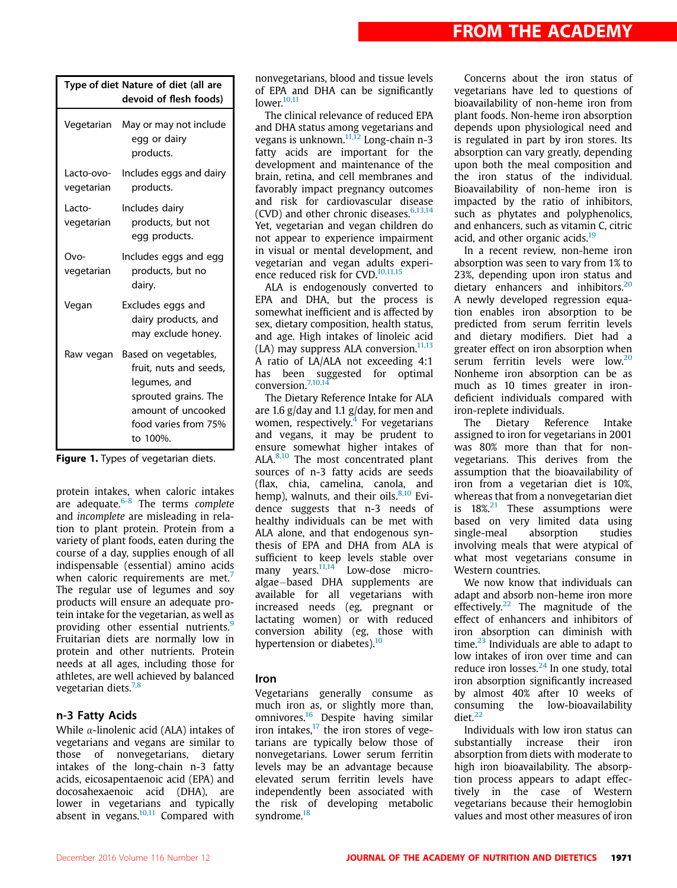<span id="page-1-0"></span>

| Type of diet Nature of diet (all are<br>devoid of flesh foods) |                                                                                                                                                  |
|----------------------------------------------------------------|--------------------------------------------------------------------------------------------------------------------------------------------------|
| Vegetarian                                                     | May or may not include<br>egg or dairy<br>products.                                                                                              |
| Lacto-ovo-<br>vegetarian                                       | Includes eggs and dairy<br>products.                                                                                                             |
| l acto-<br>vegetarian                                          | Includes dairy<br>products, but not<br>egg products.                                                                                             |
| Ovo-<br>vegetarian                                             | Includes eggs and egg<br>products, but no<br>dairy.                                                                                              |
| Vegan                                                          | Excludes eggs and<br>dairy products, and<br>may exclude honey.                                                                                   |
| Raw vegan                                                      | Based on vegetables,<br>fruit, nuts and seeds,<br>legumes, and<br>sprouted grains. The<br>amount of uncooked<br>food varies from 75%<br>to 100%. |

Figure 1. Types of vegetarian diets.

protein intakes, when caloric intakes are adequate. $6-8$  The terms complete and incomplete are misleading in relation to plant protein. Protein from a variety of plant foods, eaten during the course of a day, supplies enough of all indispensable (essential) amino acids when caloric requirements are met.<sup>[7](#page-7-0)</sup> The regular use of legumes and soy products will ensure an adequate protein intake for the vegetarian, as well as providing other essential nutrients.<sup>[9](#page-7-0)</sup> Fruitarian diets are normally low in protein and other nutrients. Protein needs at all ages, including those for athletes, are well achieved by balanced vegetarian diets.<sup>[7,8](#page-7-0)</sup>

# n-3 Fatty Acids

While  $\alpha$ -linolenic acid (ALA) intakes of vegetarians and vegans are similar to those of nonvegetarians, dietary intakes of the long-chain n-3 fatty acids, eicosapentaenoic acid (EPA) and docosahexaenoic acid (DHA), are lower in vegetarians and typically absent in vegans. $10,11$  Compared with nonvegetarians, blood and tissue levels of EPA and DHA can be significantly lower $10,11$ 

The clinical relevance of reduced EPA and DHA status among vegetarians and vegans is unknown. $11,12$  Long-chain n-3 fatty acids are important for the development and maintenance of the brain, retina, and cell membranes and favorably impact pregnancy outcomes and risk for cardiovascular disease (CVD) and other chronic diseases. $6,13,14$ Yet, vegetarian and vegan children do not appear to experience impairment in visual or mental development, and vegetarian and vegan adults experience reduced risk for CVD. $10,11,15$ 

ALA is endogenously converted to EPA and DHA, but the process is somewhat inefficient and is affected by sex, dietary composition, health status, and age. High intakes of linoleic acid  $(LA)$  may suppress ALA conversion.<sup>[11,13](#page-7-0)</sup> A ratio of LA/ALA not exceeding 4:1 has been suggested for optimal conversion.<sup>[7,10,14](#page-7-0)</sup>

The Dietary Reference Intake for ALA are 1.6 g/day and 1.1 g/day, for men and women, respectively. $4$  For vegetarians and vegans, it may be prudent to ensure somewhat higher intakes of ALA.<sup>[8,10](#page-7-0)</sup> The most concentrated plant sources of n-3 fatty acids are seeds (flax, chia, camelina, canola, and hemp), walnuts, and their oils.<sup>[8,10](#page-7-0)</sup> Evidence suggests that n-3 needs of healthy individuals can be met with ALA alone, and that endogenous synthesis of EPA and DHA from ALA is sufficient to keep levels stable over many years.<sup>[11,14](#page-7-0)</sup> Low-dose microalgae-based DHA supplements are available for all vegetarians with increased needs (eg, pregnant or lactating women) or with reduced conversion ability (eg, those with hypertension or diabetes).<sup>[10](#page-7-0)</sup>

#### Iron

Vegetarians generally consume as much iron as, or slightly more than, omnivores.[16](#page-7-0) Despite having similar iron intakes, $17$  the iron stores of vegetarians are typically below those of nonvegetarians. Lower serum ferritin levels may be an advantage because elevated serum ferritin levels have independently been associated with the risk of developing metabolic syndrome.<sup>[18](#page-7-0)</sup>

Concerns about the iron status of vegetarians have led to questions of bioavailability of non-heme iron from plant foods. Non-heme iron absorption depends upon physiological need and is regulated in part by iron stores. Its absorption can vary greatly, depending upon both the meal composition and the iron status of the individual. Bioavailability of non-heme iron is impacted by the ratio of inhibitors, such as phytates and polyphenolics, and enhancers, such as vitamin C, citric acid, and other organic acids.<sup>[19](#page-7-0)</sup>

In a recent review, non-heme iron absorption was seen to vary from 1% to 23%, depending upon iron status and dietary enhancers and inhibitors. $20$ A newly developed regression equation enables iron absorption to be predicted from serum ferritin levels and dietary modifiers. Diet had a greater effect on iron absorption when serum ferritin levels were low.<sup>[20](#page-7-0)</sup> Nonheme iron absorption can be as much as 10 times greater in irondeficient individuals compared with iron-replete individuals.

The Dietary Reference Intake assigned to iron for vegetarians in 2001 was 80% more than that for nonvegetarians. This derives from the assumption that the bioavailability of iron from a vegetarian diet is 10%, whereas that from a nonvegetarian diet is  $18\%^{21}$  $18\%^{21}$  $18\%^{21}$  These assumptions were based on very limited data using single-meal absorption studies involving meals that were atypical of what most vegetarians consume in Western countries.

We now know that individuals can adapt and absorb non-heme iron more effectively. $22$  The magnitude of the effect of enhancers and inhibitors of iron absorption can diminish with time. $23$  Individuals are able to adapt to low intakes of iron over time and can reduce iron losses.<sup>[24](#page-8-0)</sup> In one study, total iron absorption significantly increased by almost 40% after 10 weeks of consuming the low-bioavailability  $\text{dict.}^{22}$  $\text{dict.}^{22}$  $\text{dict.}^{22}$ 

Individuals with low iron status can substantially increase their iron absorption from diets with moderate to high iron bioavailability. The absorption process appears to adapt effectively in the case of Western vegetarians because their hemoglobin values and most other measures of iron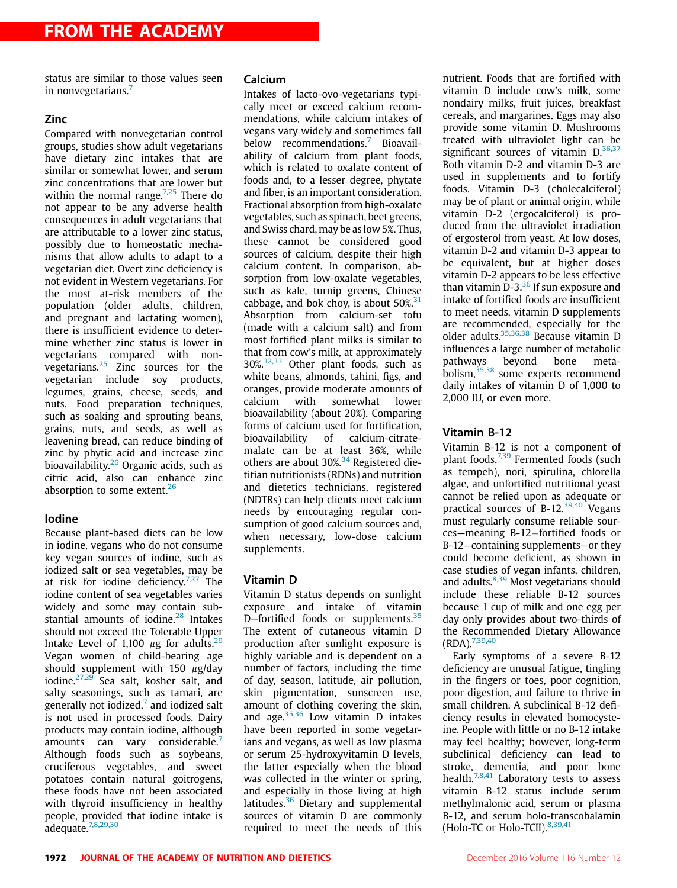status are similar to those values seen in nonvegetarians.<sup>[7](#page-7-0)</sup>

#### Zinc

Compared with nonvegetarian control groups, studies show adult vegetarians have dietary zinc intakes that are similar or somewhat lower, and serum zinc concentrations that are lower but within the normal range.<sup>[7,25](#page-7-0)</sup> There do not appear to be any adverse health consequences in adult vegetarians that are attributable to a lower zinc status, possibly due to homeostatic mechanisms that allow adults to adapt to a vegetarian diet. Overt zinc deficiency is not evident in Western vegetarians. For the most at-risk members of the population (older adults, children, and pregnant and lactating women), there is insufficient evidence to determine whether zinc status is lower in vegetarians compared with nonvegetarians.[25](#page-8-0) Zinc sources for the vegetarian include soy products, legumes, grains, cheese, seeds, and nuts. Food preparation techniques, such as soaking and sprouting beans, grains, nuts, and seeds, as well as leavening bread, can reduce binding of zinc by phytic acid and increase zinc bioavailability.<sup>[26](#page-8-0)</sup> Organic acids, such as citric acid, also can enhance zinc absorption to some extent.<sup>[26](#page-8-0)</sup>

#### Iodine

Because plant-based diets can be low in iodine, vegans who do not consume key vegan sources of iodine, such as iodized salt or sea vegetables, may be at risk for iodine deficiency.<sup>[7,27](#page-7-0)</sup> The iodine content of sea vegetables varies widely and some may contain substantial amounts of iodine. $28$  Intakes should not exceed the Tolerable Upper Intake Level of 1,100  $\mu$ g for adults.<sup>[29](#page-8-0)</sup> Vegan women of child-bearing age should supplement with 150  $\mu$ g/day iodine.[27,29](#page-8-0) Sea salt, kosher salt, and salty seasonings, such as tamari, are generally not iodized, $\frac{7}{7}$  $\frac{7}{7}$  $\frac{7}{7}$  and iodized salt is not used in processed foods. Dairy products may contain iodine, although amounts can vary considerable. Although foods such as soybeans, cruciferous vegetables, and sweet potatoes contain natural goitrogens, these foods have not been associated with thyroid insufficiency in healthy people, provided that iodine intake is adequate.[7,8,29,30](#page-7-0)

#### Calcium

Intakes of lacto-ovo-vegetarians typically meet or exceed calcium recommendations, while calcium intakes of vegans vary widely and sometimes fall below recommendations.<sup>[7](#page-7-0)</sup> Bioavailability of calcium from plant foods, which is related to oxalate content of foods and, to a lesser degree, phytate and fiber, is an important consideration. Fractional absorption from high-oxalate vegetables, such as spinach, beet greens, and Swiss chard, may be as low 5%. Thus, these cannot be considered good sources of calcium, despite their high calcium content. In comparison, absorption from low-oxalate vegetables, such as kale, turnip greens, Chinese cabbage, and bok choy, is about  $50\%$ <sup>[31](#page-8-0)</sup> Absorption from calcium-set tofu (made with a calcium salt) and from most fortified plant milks is similar to that from cow's milk, at approximately  $30\%$ <sup>[32,33](#page-8-0)</sup> Other plant foods, such as white beans, almonds, tahini, figs, and oranges, provide moderate amounts of calcium with somewhat lower bioavailability (about 20%). Comparing forms of calcium used for fortification, bioavailability of calcium-citratemalate can be at least 36%, while others are about 30%.<sup>[34](#page-8-0)</sup> Registered dietitian nutritionists (RDNs) and nutrition and dietetics technicians, registered (NDTRs) can help clients meet calcium needs by encouraging regular consumption of good calcium sources and, when necessary, low-dose calcium supplements.

# Vitamin D

Vitamin D status depends on sunlight exposure and intake of vitamin D-fortified foods or supplements. $35$ The extent of cutaneous vitamin D production after sunlight exposure is highly variable and is dependent on a number of factors, including the time of day, season, latitude, air pollution, skin pigmentation, sunscreen use, amount of clothing covering the skin, and age. $35,36$  Low vitamin D intakes have been reported in some vegetarians and vegans, as well as low plasma or serum 25-hydroxyvitamin D levels, the latter especially when the blood was collected in the winter or spring, and especially in those living at high latitudes.<sup>[36](#page-8-0)</sup> Dietary and supplemental sources of vitamin D are commonly required to meet the needs of this nutrient. Foods that are fortified with vitamin D include cow's milk, some nondairy milks, fruit juices, breakfast cereals, and margarines. Eggs may also provide some vitamin D. Mushrooms treated with ultraviolet light can be significant sources of vitamin  $D<sub>0.36,37</sub>$  $D<sub>0.36,37</sub>$  $D<sub>0.36,37</sub>$ Both vitamin D-2 and vitamin D-3 are used in supplements and to fortify foods. Vitamin D-3 (cholecalciferol) may be of plant or animal origin, while vitamin D-2 (ergocalciferol) is produced from the ultraviolet irradiation of ergosterol from yeast. At low doses, vitamin D-2 and vitamin D-3 appear to be equivalent, but at higher doses vitamin D-2 appears to be less effective than vitamin D-3. $36$  If sun exposure and intake of fortified foods are insufficient to meet needs, vitamin D supplements are recommended, especially for the older adults.[35,36,38](#page-8-0) Because vitamin D influences a large number of metabolic pathways beyond bone meta-bolism,<sup>[35,38](#page-8-0)</sup> some experts recommend daily intakes of vitamin D of 1,000 to 2,000 IU, or even more.

# Vitamin B-12

Vitamin B-12 is not a component of plant foods.<sup>[7,39](#page-7-0)</sup> Fermented foods (such as tempeh), nori, spirulina, chlorella algae, and unfortified nutritional yeast cannot be relied upon as adequate or practical sources of B-12. $39,40$  Vegans must regularly consume reliable sources-meaning B-12-fortified foods or  $B-12$ –containing supplements–or they could become deficient, as shown in case studies of vegan infants, children, and adults. $8,39$  Most vegetarians should include these reliable B-12 sources because 1 cup of milk and one egg per day only provides about two-thirds of the Recommended Dietary Allowance  $(RDA).^{7,39,40}$  $(RDA).^{7,39,40}$  $(RDA).^{7,39,40}$ 

Early symptoms of a severe B-12 deficiency are unusual fatigue, tingling in the fingers or toes, poor cognition, poor digestion, and failure to thrive in small children. A subclinical B-12 deficiency results in elevated homocysteine. People with little or no B-12 intake may feel healthy; however, long-term subclinical deficiency can lead to stroke, dementia, and poor bone health.<sup>[7,8,41](#page-7-0)</sup> Laboratory tests to assess vitamin B-12 status include serum methylmalonic acid, serum or plasma B-12, and serum holo-transcobalamin (Holo-TC or Holo-TCII). [8,39,41](#page-7-0)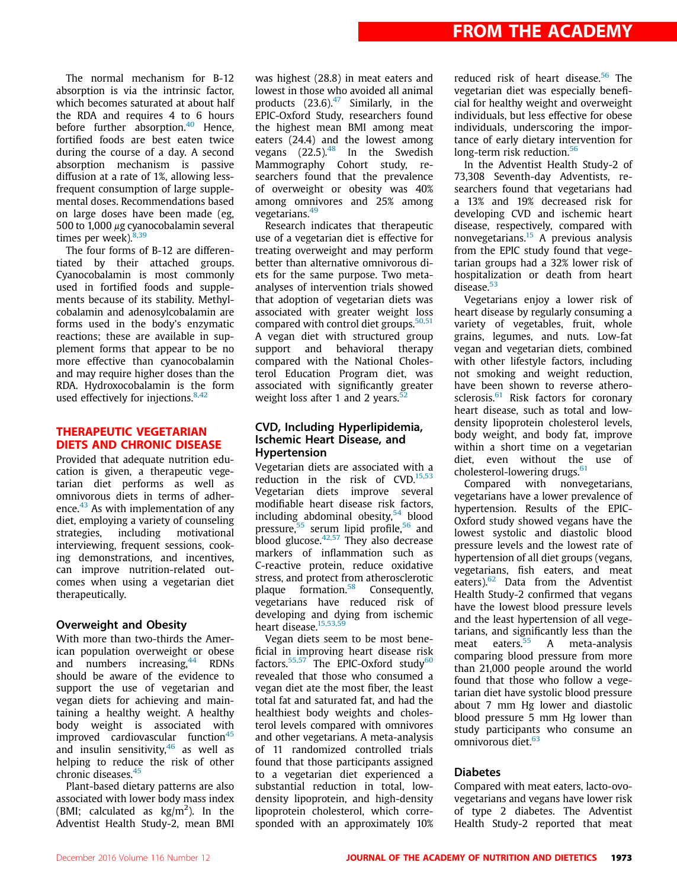The normal mechanism for B-12 absorption is via the intrinsic factor, which becomes saturated at about half the RDA and requires 4 to 6 hours before further absorption.<sup>[40](#page-8-0)</sup> Hence, fortified foods are best eaten twice during the course of a day. A second absorption mechanism is passive diffusion at a rate of 1%, allowing lessfrequent consumption of large supplemental doses. Recommendations based on large doses have been made (eg, 500 to 1,000  $\mu$ g cyanocobalamin several times per week). $8,39$ 

The four forms of B-12 are differentiated by their attached groups. Cyanocobalamin is most commonly used in fortified foods and supplements because of its stability. Methylcobalamin and adenosylcobalamin are forms used in the body's enzymatic reactions; these are available in supplement forms that appear to be no more effective than cyanocobalamin and may require higher doses than the RDA. Hydroxocobalamin is the form used effectively for injections. $8,42$ 

### THERAPEUTIC VEGETARIAN DIETS AND CHRONIC DISEASE

Provided that adequate nutrition education is given, a therapeutic vegetarian diet performs as well as omnivorous diets in terms of adherence. $43$  As with implementation of any diet, employing a variety of counseling strategies, including motivational interviewing, frequent sessions, cooking demonstrations, and incentives, can improve nutrition-related outcomes when using a vegetarian diet therapeutically.

# Overweight and Obesity

With more than two-thirds the American population overweight or obese and numbers increasing,<sup>[44](#page-8-0)</sup> RDNs should be aware of the evidence to support the use of vegetarian and vegan diets for achieving and maintaining a healthy weight. A healthy body weight is associated with  $improved$  cardiovascular function<sup>[45](#page-8-0)</sup> and insulin sensitivity,  $46$  as well as helping to reduce the risk of other chronic diseases.[45](#page-8-0)

Plant-based dietary patterns are also associated with lower body mass index (BMI; calculated as  $\text{kg/m}^2$ ). In the Adventist Health Study-2, mean BMI

was highest (28.8) in meat eaters and lowest in those who avoided all animal products  $(23.6).^{47}$  $(23.6).^{47}$  $(23.6).^{47}$  Similarly, in the EPIC-Oxford Study, researchers found the highest mean BMI among meat eaters (24.4) and the lowest among vegans  $(22.5).^{48}$  $(22.5).^{48}$  $(22.5).^{48}$  In the Swedish Mammography Cohort study, researchers found that the prevalence of overweight or obesity was 40% among omnivores and 25% among vegetarians.[49](#page-8-0)

Research indicates that therapeutic use of a vegetarian diet is effective for treating overweight and may perform better than alternative omnivorous diets for the same purpose. Two metaanalyses of intervention trials showed that adoption of vegetarian diets was associated with greater weight loss compared with control diet groups.<sup>[50,51](#page-8-0)</sup> A vegan diet with structured group support and behavioral therapy compared with the National Cholesterol Education Program diet, was associated with significantly greater weight loss after 1 and 2 years. $5$ 

#### CVD, Including Hyperlipidemia, Ischemic Heart Disease, and Hypertension

Vegetarian diets are associated with a reduction in the risk of CVD.<sup>[15,53](#page-7-0)</sup> Vegetarian diets improve several modifiable heart disease risk factors, including abdominal obesity, $54$  blood pressure, $55$  serum lipid profile, $56$  and blood glucose. $42,57$  They also decrease markers of inflammation such as C-reactive protein, reduce oxidative stress, and protect from atherosclerotic plaque formation.<sup>[58](#page-8-0)</sup> Consequently, vegetarians have reduced risk of developing and dying from ischemic heart disease.<sup>[15,53,59](#page-7-0)</sup>

Vegan diets seem to be most beneficial in improving heart disease risk factors.<sup>[55,57](#page-8-0)</sup> The EPIC-Oxford study<sup>[60](#page-8-0)</sup> revealed that those who consumed a vegan diet ate the most fiber, the least total fat and saturated fat, and had the healthiest body weights and cholesterol levels compared with omnivores and other vegetarians. A meta-analysis of 11 randomized controlled trials found that those participants assigned to a vegetarian diet experienced a substantial reduction in total, lowdensity lipoprotein, and high-density lipoprotein cholesterol, which corresponded with an approximately 10%

reduced risk of heart disease.<sup>[56](#page-8-0)</sup> The vegetarian diet was especially beneficial for healthy weight and overweight individuals, but less effective for obese individuals, underscoring the importance of early dietary intervention for long-term risk reduction.<sup>[56](#page-8-0)</sup>

In the Adventist Health Study-2 of 73,308 Seventh-day Adventists, researchers found that vegetarians had a 13% and 19% decreased risk for developing CVD and ischemic heart disease, respectively, compared with nonvegetarians.[15](#page-7-0) A previous analysis from the EPIC study found that vegetarian groups had a 32% lower risk of hospitalization or death from heart disease.<sup>[53](#page-8-0)</sup>

Vegetarians enjoy a lower risk of heart disease by regularly consuming a variety of vegetables, fruit, whole grains, legumes, and nuts. Low-fat vegan and vegetarian diets, combined with other lifestyle factors, including not smoking and weight reduction, have been shown to reverse atherosclerosis. $61$  Risk factors for coronary heart disease, such as total and lowdensity lipoprotein cholesterol levels, body weight, and body fat, improve within a short time on a vegetarian diet, even without the use of cholesterol-lowering drugs.<sup>[61](#page-8-0)</sup>

Compared with nonvegetarians, vegetarians have a lower prevalence of hypertension. Results of the EPIC-Oxford study showed vegans have the lowest systolic and diastolic blood pressure levels and the lowest rate of hypertension of all diet groups (vegans, vegetarians, fish eaters, and meat eaters).<sup>[62](#page-8-0)</sup> Data from the Adventist Health Study-2 confirmed that vegans have the lowest blood pressure levels and the least hypertension of all vegetarians, and significantly less than the meat eaters. $55$  A meta-analysis comparing blood pressure from more than 21,000 people around the world found that those who follow a vegetarian diet have systolic blood pressure about 7 mm Hg lower and diastolic blood pressure 5 mm Hg lower than study participants who consume an omnivorous diet.<sup>[63](#page-8-0)</sup>

# Diabetes

Compared with meat eaters, lacto-ovovegetarians and vegans have lower risk of type 2 diabetes. The Adventist Health Study-2 reported that meat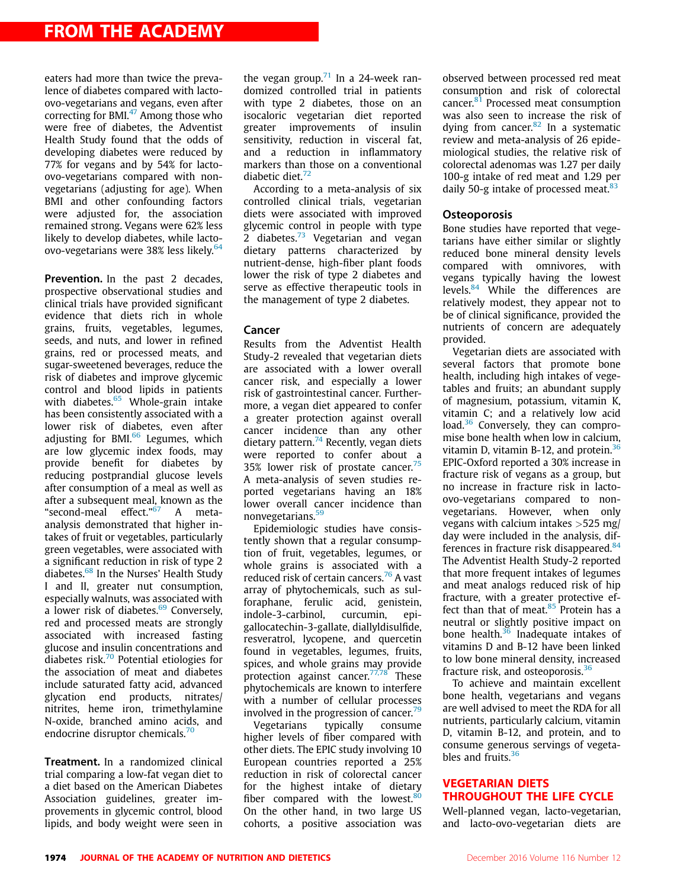eaters had more than twice the prevalence of diabetes compared with lactoovo-vegetarians and vegans, even after correcting for BMI $^{47}$  $^{47}$  $^{47}$  Among those who were free of diabetes, the Adventist Health Study found that the odds of developing diabetes were reduced by 77% for vegans and by 54% for lactoovo-vegetarians compared with nonvegetarians (adjusting for age). When BMI and other confounding factors were adjusted for, the association remained strong. Vegans were 62% less likely to develop diabetes, while lactoovo-vegetarians were  $38\%$  less likely.<sup>[64](#page-8-0)</sup>

Prevention. In the past 2 decades, prospective observational studies and clinical trials have provided significant evidence that diets rich in whole grains, fruits, vegetables, legumes, seeds, and nuts, and lower in refined grains, red or processed meats, and sugar-sweetened beverages, reduce the risk of diabetes and improve glycemic control and blood lipids in patients with diabetes.<sup>[65](#page-8-0)</sup> Whole-grain intake has been consistently associated with a lower risk of diabetes, even after adjusting for BMI. $66$  Legumes, which are low glycemic index foods, may provide benefit for diabetes by reducing postprandial glucose levels after consumption of a meal as well as after a subsequent meal, known as the "second-meal effect." [67](#page-9-0) A metaanalysis demonstrated that higher intakes of fruit or vegetables, particularly green vegetables, were associated with a significant reduction in risk of type 2 diabetes.[68](#page-9-0) In the Nurses' Health Study I and II, greater nut consumption, especially walnuts, was associated with a lower risk of diabetes. $69$  Conversely, red and processed meats are strongly associated with increased fasting glucose and insulin concentrations and diabetes risk.[70](#page-9-0) Potential etiologies for the association of meat and diabetes include saturated fatty acid, advanced glycation end products, nitrates/ nitrites, heme iron, trimethylamine N-oxide, branched amino acids, and endocrine disruptor chemicals.<sup>[70](#page-9-0)</sup>

Treatment. In a randomized clinical trial comparing a low-fat vegan diet to a diet based on the American Diabetes Association guidelines, greater improvements in glycemic control, blood lipids, and body weight were seen in

the vegan group.<sup>[71](#page-9-0)</sup> In a 24-week randomized controlled trial in patients with type 2 diabetes, those on an isocaloric vegetarian diet reported greater improvements of insulin sensitivity, reduction in visceral fat, and a reduction in inflammatory markers than those on a conventional diabetic diet.<sup>[72](#page-9-0)</sup>

According to a meta-analysis of six controlled clinical trials, vegetarian diets were associated with improved glycemic control in people with type  $2$  diabetes.<sup>[73](#page-9-0)</sup> Vegetarian and vegan dietary patterns characterized by nutrient-dense, high-fiber plant foods lower the risk of type 2 diabetes and serve as effective therapeutic tools in the management of type 2 diabetes.

### Cancer

Results from the Adventist Health Study-2 revealed that vegetarian diets are associated with a lower overall cancer risk, and especially a lower risk of gastrointestinal cancer. Furthermore, a vegan diet appeared to confer a greater protection against overall cancer incidence than any other dietary pattern. $74$  Recently, vegan diets were reported to confer about a 35% lower risk of prostate cancer.<sup>[75](#page-9-0)</sup> A meta-analysis of seven studies reported vegetarians having an 18% lower overall cancer incidence than nonvegetarians.<sup>[59](#page-8-0)</sup>

Epidemiologic studies have consistently shown that a regular consumption of fruit, vegetables, legumes, or whole grains is associated with a reduced risk of certain cancers.<sup>[76](#page-9-0)</sup> A vast array of phytochemicals, such as sulforaphane, ferulic acid, genistein, indole-3-carbinol, curcumin, epigallocatechin-3-gallate, diallyldisulfide, resveratrol, lycopene, and quercetin found in vegetables, legumes, fruits, spices, and whole grains may provide protection against cancer. $77,78$  These phytochemicals are known to interfere with a number of cellular processes involved in the progression of cancer.<sup>[79](#page-9-0)</sup>

Vegetarians typically consume higher levels of fiber compared with other diets. The EPIC study involving 10 European countries reported a 25% reduction in risk of colorectal cancer for the highest intake of dietary fiber compared with the lowest. $80$ On the other hand, in two large US cohorts, a positive association was observed between processed red meat consumption and risk of colorectal cancer.<sup>[81](#page-9-0)</sup> Processed meat consumption was also seen to increase the risk of dying from cancer. $82$  In a systematic review and meta-analysis of 26 epidemiological studies, the relative risk of colorectal adenomas was 1.27 per daily 100-g intake of red meat and 1.29 per daily 50-g intake of processed meat. $83$ 

### Osteoporosis

Bone studies have reported that vegetarians have either similar or slightly reduced bone mineral density levels compared with omnivores, with vegans typically having the lowest levels.[84](#page-9-0) While the differences are relatively modest, they appear not to be of clinical significance, provided the nutrients of concern are adequately provided.

Vegetarian diets are associated with several factors that promote bone health, including high intakes of vegetables and fruits; an abundant supply of magnesium, potassium, vitamin K, vitamin C; and a relatively low acid load.<sup>[36](#page-8-0)</sup> Conversely, they can compromise bone health when low in calcium, vitamin D, vitamin B-12, and protein. $36$ EPIC-Oxford reported a 30% increase in fracture risk of vegans as a group, but no increase in fracture risk in lactoovo-vegetarians compared to nonvegetarians. However, when only vegans with calcium intakes >525 mg/ day were included in the analysis, dif-ferences in fracture risk disappeared.<sup>[84](#page-9-0)</sup> The Adventist Health Study-2 reported that more frequent intakes of legumes and meat analogs reduced risk of hip fracture, with a greater protective ef-fect than that of meat.<sup>[85](#page-9-0)</sup> Protein has a neutral or slightly positive impact on bone health. $36$  Inadequate intakes of vitamins D and B-12 have been linked to low bone mineral density, increased fracture risk, and osteoporosis.<sup>[36](#page-8-0)</sup>

To achieve and maintain excellent bone health, vegetarians and vegans are well advised to meet the RDA for all nutrients, particularly calcium, vitamin D, vitamin B-12, and protein, and to consume generous servings of vegeta-bles and fruits.<sup>[36](#page-8-0)</sup>

### VEGETARIAN DIETS THROUGHOUT THE LIFE CYCLE

Well-planned vegan, lacto-vegetarian, and lacto-ovo-vegetarian diets are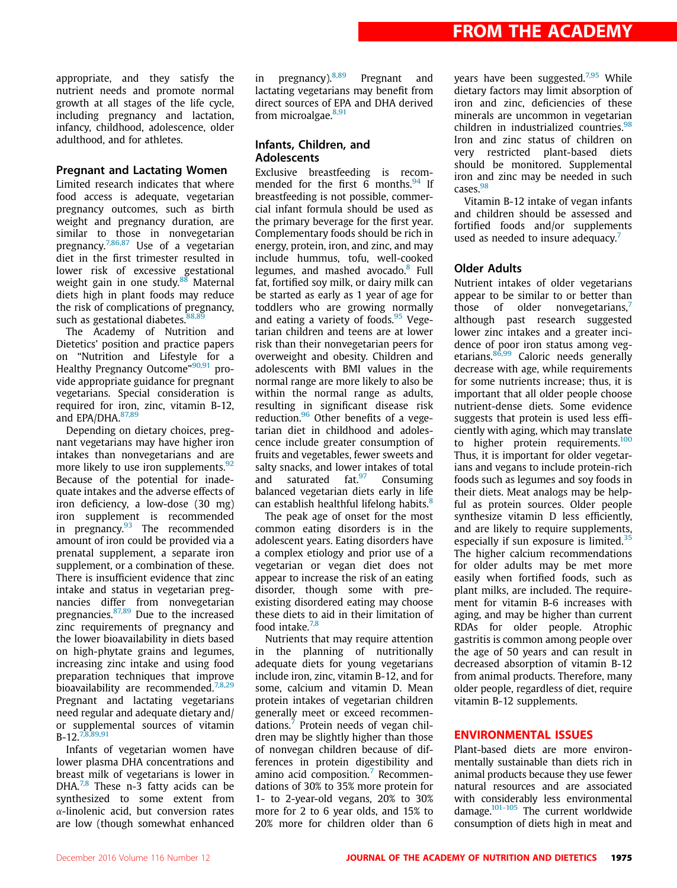appropriate, and they satisfy the nutrient needs and promote normal growth at all stages of the life cycle, including pregnancy and lactation, infancy, childhood, adolescence, older adulthood, and for athletes.

#### Pregnant and Lactating Women

Limited research indicates that where food access is adequate, vegetarian pregnancy outcomes, such as birth weight and pregnancy duration, are similar to those in nonvegetarian pregnancy.[7,86,87](#page-7-0) Use of a vegetarian diet in the first trimester resulted in lower risk of excessive gestational weight gain in one study.<sup>[88](#page-9-0)</sup> Maternal diets high in plant foods may reduce the risk of complications of pregnancy, such as gestational diabetes.<sup>8</sup>

The Academy of Nutrition and Dietetics' position and practice papers on "Nutrition and Lifestyle for a Healthy Pregnancy Outcome"<sup>[90,91](#page-9-0)</sup> provide appropriate guidance for pregnant vegetarians. Special consideration is required for iron, zinc, vitamin B-12, and EPA/DHA.<sup>[87,89](#page-9-0)</sup>

Depending on dietary choices, pregnant vegetarians may have higher iron intakes than nonvegetarians and are more likely to use iron supplements.<sup>[92](#page-9-0)</sup> Because of the potential for inadequate intakes and the adverse effects of iron deficiency, a low-dose (30 mg) iron supplement is recommended in pregnancy. $93$  The recommended amount of iron could be provided via a prenatal supplement, a separate iron supplement, or a combination of these. There is insufficient evidence that zinc intake and status in vegetarian pregnancies differ from nonvegetarian pregnancies.[87,89](#page-9-0) Due to the increased zinc requirements of pregnancy and the lower bioavailability in diets based on high-phytate grains and legumes, increasing zinc intake and using food preparation techniques that improve bioavailability are recommended.<sup>7,8,2</sup> Pregnant and lactating vegetarians need regular and adequate dietary and/ or supplemental sources of vitamin B-12.[7,8,89,91](#page-7-0)

Infants of vegetarian women have lower plasma DHA concentrations and breast milk of vegetarians is lower in DHA. $^{7,8}$  $^{7,8}$  $^{7,8}$  These n-3 fatty acids can be synthesized to some extent from  $\alpha$ -linolenic acid, but conversion rates are low (though somewhat enhanced

in pregnancy). $8,89$  Pregnant and lactating vegetarians may benefit from direct sources of EPA and DHA derived from microalgae.<sup>[8,91](#page-7-0)</sup>

## Infants, Children, and Adolescents

Exclusive breastfeeding is recommended for the first 6 months. $94$  If breastfeeding is not possible, commercial infant formula should be used as the primary beverage for the first year. Complementary foods should be rich in energy, protein, iron, and zinc, and may include hummus, tofu, well-cooked legumes, and mashed avocado.<sup>[8](#page-7-0)</sup> Full fat, fortified soy milk, or dairy milk can be started as early as 1 year of age for toddlers who are growing normally and eating a variety of foods. $95$  Vegetarian children and teens are at lower risk than their nonvegetarian peers for overweight and obesity. Children and adolescents with BMI values in the normal range are more likely to also be within the normal range as adults, resulting in significant disease risk reduction.<sup>[96](#page-9-0)</sup> Other benefits of a vegetarian diet in childhood and adolescence include greater consumption of fruits and vegetables, fewer sweets and salty snacks, and lower intakes of total and saturated  $fat.^{97}$  $fat.^{97}$  $fat.^{97}$  Consuming balanced vegetarian diets early in life can establish healthful lifelong habits.<sup>[8](#page-7-0)</sup>

The peak age of onset for the most common eating disorders is in the adolescent years. Eating disorders have a complex etiology and prior use of a vegetarian or vegan diet does not appear to increase the risk of an eating disorder, though some with preexisting disordered eating may choose these diets to aid in their limitation of food intake. $7,8$ 

Nutrients that may require attention in the planning of nutritionally adequate diets for young vegetarians include iron, zinc, vitamin B-12, and for some, calcium and vitamin D. Mean protein intakes of vegetarian children generally meet or exceed recommen-dations.<sup>[7](#page-7-0)</sup> Protein needs of vegan children may be slightly higher than those of nonvegan children because of differences in protein digestibility and amino acid composition.<sup>[7](#page-7-0)</sup> Recommendations of 30% to 35% more protein for 1- to 2-year-old vegans, 20% to 30% more for 2 to 6 year olds, and 15% to 20% more for children older than 6

years have been suggested.<sup>[7,95](#page-7-0)</sup> While dietary factors may limit absorption of iron and zinc, deficiencies of these minerals are uncommon in vegetarian children in industrialized countries.<sup>[98](#page-9-0)</sup> Iron and zinc status of children on very restricted plant-based diets should be monitored. Supplemental iron and zinc may be needed in such cases.<sup>[98](#page-9-0)</sup>

Vitamin B-12 intake of vegan infants and children should be assessed and fortified foods and/or supplements used as needed to insure adequacy.<sup>[7](#page-7-0)</sup>

### Older Adults

Nutrient intakes of older vegetarians appear to be similar to or better than those of older nonvegetarians,<sup>[7](#page-7-0)</sup> although past research suggested lower zinc intakes and a greater incidence of poor iron status among veg-etarians.<sup>[86,99](#page-9-0)</sup> Caloric needs generally decrease with age, while requirements for some nutrients increase; thus, it is important that all older people choose nutrient-dense diets. Some evidence suggests that protein is used less efficiently with aging, which may translate to higher protein requirements.<sup>[100](#page-9-0)</sup> Thus, it is important for older vegetarians and vegans to include protein-rich foods such as legumes and soy foods in their diets. Meat analogs may be helpful as protein sources. Older people synthesize vitamin D less efficiently, and are likely to require supplements, especially if sun exposure is limited.<sup>[35](#page-8-0)</sup> The higher calcium recommendations for older adults may be met more easily when fortified foods, such as plant milks, are included. The requirement for vitamin B-6 increases with aging, and may be higher than current RDAs for older people. Atrophic gastritis is common among people over the age of 50 years and can result in decreased absorption of vitamin B-12 from animal products. Therefore, many older people, regardless of diet, require vitamin B-12 supplements.

#### ENVIRONMENTAL ISSUES

Plant-based diets are more environmentally sustainable than diets rich in animal products because they use fewer natural resources and are associated with considerably less environmental  $d$ amage. $101-105$  The current worldwide consumption of diets high in meat and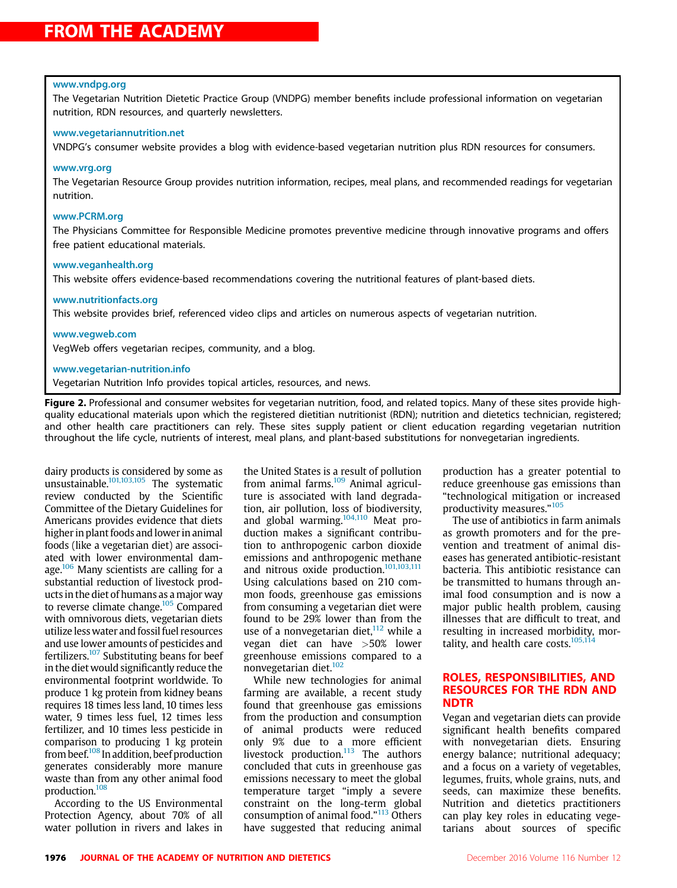#### <span id="page-6-0"></span>[www.vndpg.org](http://www.vndpg.org)

The Vegetarian Nutrition Dietetic Practice Group (VNDPG) member benefits include professional information on vegetarian nutrition, RDN resources, and quarterly newsletters.

#### [www.vegetariannutrition.net](http://www.vegetariannutrition.net)

VNDPG's consumer website provides a blog with evidence-based vegetarian nutrition plus RDN resources for consumers.

#### [www.vrg.org](http://www.vrg.org)

The Vegetarian Resource Group provides nutrition information, recipes, meal plans, and recommended readings for vegetarian nutrition.

#### [www.PCRM.org](http://www.PCRM.org)

The Physicians Committee for Responsible Medicine promotes preventive medicine through innovative programs and offers free patient educational materials.

#### [www.veganhealth.org](http://www.veganhealth.org)

This website offers evidence-based recommendations covering the nutritional features of plant-based diets.

#### [www.nutritionfacts.org](http://www.nutritionfacts.org)

This website provides brief, referenced video clips and articles on numerous aspects of vegetarian nutrition.

[www.vegweb.com](http://www.vegweb.com) VegWeb offers vegetarian recipes, community, and a blog.

#### [www.vegetarian-nutrition.info](http://www.vegetarian-nutrition.info)

Vegetarian Nutrition Info provides topical articles, resources, and news.

Figure 2. Professional and consumer websites for vegetarian nutrition, food, and related topics. Many of these sites provide highquality educational materials upon which the registered dietitian nutritionist (RDN); nutrition and dietetics technician, registered; and other health care practitioners can rely. These sites supply patient or client education regarding vegetarian nutrition throughout the life cycle, nutrients of interest, meal plans, and plant-based substitutions for nonvegetarian ingredients.

dairy products is considered by some as unsustainable.[101,103,105](#page-9-0) The systematic review conducted by the Scientific Committee of the Dietary Guidelines for Americans provides evidence that diets higher in plant foods and lower in animal foods (like a vegetarian diet) are associated with lower environmental dam-age.<sup>[106](#page-9-0)</sup> Many scientists are calling for a substantial reduction of livestock products in the diet of humans as a major way to reverse climate change.<sup>[105](#page-9-0)</sup> Compared with omnivorous diets, vegetarian diets utilize less water and fossil fuel resources and use lower amounts of pesticides and fertilizers.<sup>[107](#page-9-0)</sup> Substituting beans for beef in the diet would significantly reduce the environmental footprint worldwide. To produce 1 kg protein from kidney beans requires 18 times less land, 10 times less water, 9 times less fuel, 12 times less fertilizer, and 10 times less pesticide in comparison to producing 1 kg protein from beef.[108](#page-9-0) In addition, beef production generates considerably more manure waste than from any other animal food production.[108](#page-9-0)

According to the US Environmental Protection Agency, about 70% of all water pollution in rivers and lakes in

the United States is a result of pollution from animal farms.<sup>[109](#page-9-0)</sup> Animal agriculture is associated with land degradation, air pollution, loss of biodiversity, and global warming.<sup>[104,110](#page-9-0)</sup> Meat production makes a significant contribution to anthropogenic carbon dioxide emissions and anthropogenic methane and nitrous oxide production.<sup>[101,103,111](#page-9-0)</sup> Using calculations based on 210 common foods, greenhouse gas emissions from consuming a vegetarian diet were found to be 29% lower than from the use of a nonvegetarian diet, $112$  while a vegan diet can have >50% lower greenhouse emissions compared to a nonvegetarian diet.<sup>[102](#page-9-0)</sup>

While new technologies for animal farming are available, a recent study found that greenhouse gas emissions from the production and consumption of animal products were reduced only 9% due to a more efficient livestock production. $113$  The authors concluded that cuts in greenhouse gas emissions necessary to meet the global temperature target "imply a severe constraint on the long-term global consumption of animal food." [113](#page-10-0) Others have suggested that reducing animal production has a greater potential to reduce greenhouse gas emissions than "technological mitigation or increased productivity measures." [105](#page-9-0)

The use of antibiotics in farm animals as growth promoters and for the prevention and treatment of animal diseases has generated antibiotic-resistant bacteria. This antibiotic resistance can be transmitted to humans through animal food consumption and is now a major public health problem, causing illnesses that are difficult to treat, and resulting in increased morbidity, mortality, and health care costs. $105,114$ 

#### ROLES, RESPONSIBILITIES, AND RESOURCES FOR THE RDN AND NDTR

Vegan and vegetarian diets can provide significant health benefits compared with nonvegetarian diets. Ensuring energy balance; nutritional adequacy; and a focus on a variety of vegetables, legumes, fruits, whole grains, nuts, and seeds, can maximize these benefits. Nutrition and dietetics practitioners can play key roles in educating vegetarians about sources of specific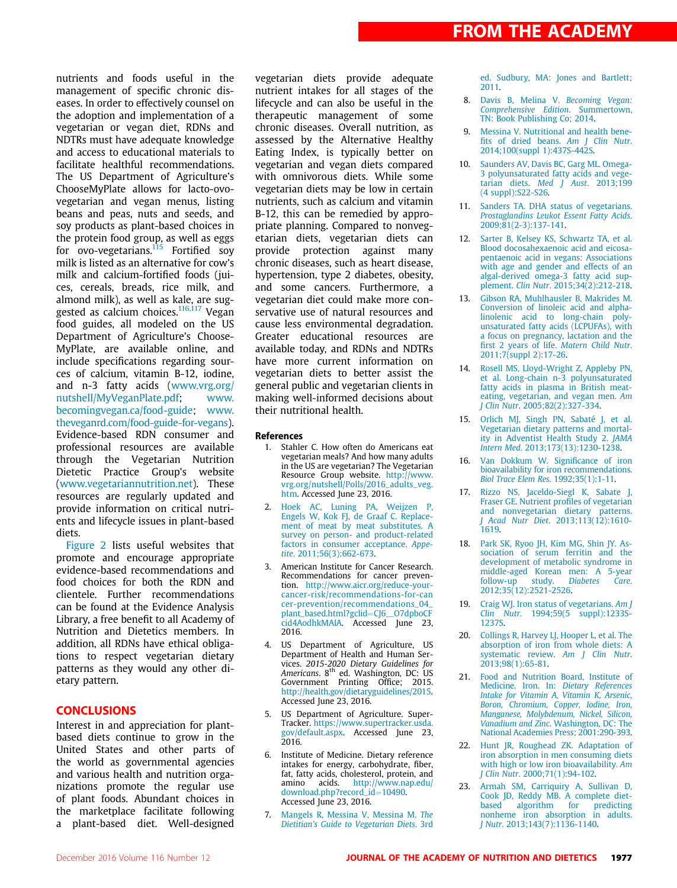<span id="page-7-0"></span>nutrients and foods useful in the management of specific chronic diseases. In order to effectively counsel on the adoption and implementation of a vegetarian or vegan diet, RDNs and NDTRs must have adequate knowledge and access to educational materials to facilitate healthful recommendations. The US Department of Agriculture's ChooseMyPlate allows for lacto-ovovegetarian and vegan menus, listing beans and peas, nuts and seeds, and soy products as plant-based choices in the protein food group, as well as eggs for ovo-vegetarians.<sup>[115](#page-10-0)</sup> Fortified sov milk is listed as an alternative for cow's milk and calcium-fortified foods (juices, cereals, breads, rice milk, and almond milk), as well as kale, are sug-gested as calcium choices.<sup>[116,117](#page-10-0)</sup> Vegan food guides, all modeled on the US Department of Agriculture's Choose-MyPlate, are available online, and include specifications regarding sources of calcium, vitamin B-12, iodine, and n-3 fatty acids ([www.vrg.org/](http://www.vrg.org/nutshell/MyVeganPlate.pdf) [nutshell/MyVeganPlate.pdf](http://www.vrg.org/nutshell/MyVeganPlate.pdf); [www.](http://www.becomingvegan.ca/food-guide) [becomingvegan.ca/food-guide](http://www.becomingvegan.ca/food-guide); [www.](http://www.theveganrd.com/food-guide-for-vegans) [theveganrd.com/food-guide-for-vegans](http://www.theveganrd.com/food-guide-for-vegans)). Evidence-based RDN consumer and professional resources are available through the Vegetarian Nutrition Dietetic Practice Group's website ([www.vegetariannutrition.net\)](http://www.vegetariannutrition.net). These resources are regularly updated and provide information on critical nutrients and lifecycle issues in plant-based diets.

[Figure 2](#page-6-0) lists useful websites that promote and encourage appropriate evidence-based recommendations and food choices for both the RDN and clientele. Further recommendations can be found at the Evidence Analysis Library, a free benefit to all Academy of Nutrition and Dietetics members. In addition, all RDNs have ethical obligations to respect vegetarian dietary patterns as they would any other dietary pattern.

#### **CONCLUSIONS**

Interest in and appreciation for plantbased diets continue to grow in the United States and other parts of the world as governmental agencies and various health and nutrition organizations promote the regular use of plant foods. Abundant choices in the marketplace facilitate following a plant-based diet. Well-designed

vegetarian diets provide adequate nutrient intakes for all stages of the lifecycle and can also be useful in the therapeutic management of some chronic diseases. Overall nutrition, as assessed by the Alternative Healthy Eating Index, is typically better on vegetarian and vegan diets compared with omnivorous diets. While some vegetarian diets may be low in certain nutrients, such as calcium and vitamin B-12, this can be remedied by appropriate planning. Compared to nonvegetarian diets, vegetarian diets can provide protection against many chronic diseases, such as heart disease, hypertension, type 2 diabetes, obesity, and some cancers. Furthermore, a vegetarian diet could make more conservative use of natural resources and cause less environmental degradation. Greater educational resources are available today, and RDNs and NDTRs have more current information on vegetarian diets to better assist the general public and vegetarian clients in making well-informed decisions about their nutritional health.

#### References

- 1. Stahler C. How often do Americans eat vegetarian meals? And how many adults in the US are vegetarian? The Vegetarian Resource Group website. [http://www.](http://www.vrg.org/nutshell/Polls/2016_adults_veg.htm) [vrg.org/nutshell/Polls/2016\\_adults\\_veg.](http://www.vrg.org/nutshell/Polls/2016_adults_veg.htm) [htm.](http://www.vrg.org/nutshell/Polls/2016_adults_veg.htm) Accessed June 23, 2016.
- 2. [Hoek AC, Luning PA, Weijzen P,](http://refhub.elsevier.com/S2212-2672(16)31192-3/sref2) [Engels W, Kok FJ, de Graaf C. Replace](http://refhub.elsevier.com/S2212-2672(16)31192-3/sref2)[ment of meat by meat substitutes. A](http://refhub.elsevier.com/S2212-2672(16)31192-3/sref2) [survey on person- and product-related](http://refhub.elsevier.com/S2212-2672(16)31192-3/sref2) [factors in consumer acceptance.](http://refhub.elsevier.com/S2212-2672(16)31192-3/sref2) Appetite[. 2011;56\(3\):662-673](http://refhub.elsevier.com/S2212-2672(16)31192-3/sref2).
- 3. American Institute for Cancer Research. Recommendations for cancer prevention. [http://www.aicr.org/reduce-your](http://www.aicr.org/reduce-your-cancer-risk/recommendations-for-cancer-prevention/recommendations_04_plant_based.html?gclid=CJ6__O7dpboCFcid4AodhkMAIA)[cancer-risk/recommendations-for-can](http://www.aicr.org/reduce-your-cancer-risk/recommendations-for-cancer-prevention/recommendations_04_plant_based.html?gclid=CJ6__O7dpboCFcid4AodhkMAIA) [cer-prevention/recommendations\\_04\\_](http://www.aicr.org/reduce-your-cancer-risk/recommendations-for-cancer-prevention/recommendations_04_plant_based.html?gclid=CJ6__O7dpboCFcid4AodhkMAIA) [plant\\_based.html?gclid](http://www.aicr.org/reduce-your-cancer-risk/recommendations-for-cancer-prevention/recommendations_04_plant_based.html?gclid=CJ6__O7dpboCFcid4AodhkMAIA)=CJ6\_O7dpboCF [cid4AodhkMAIA.](http://www.aicr.org/reduce-your-cancer-risk/recommendations-for-cancer-prevention/recommendations_04_plant_based.html?gclid=CJ6__O7dpboCFcid4AodhkMAIA) Accessed June 23, 2016.
- 4. US Department of Agriculture, US Department of Health and Human Services. 2015-2020 Dietary Guidelines for Americans. 8th ed. Washington, DC: US Government Printing Office; 2015. [http://health.gov/dietaryguidelines/2015.](http://health.gov/dietaryguidelines/2015) Accessed June 23, 2016.
- 5. US Department of Agriculture. Super-Tracker. [https://www.supertracker.usda.](https://www.supertracker.usda.gov/default.aspx) [gov/default.aspx.](https://www.supertracker.usda.gov/default.aspx) Accessed June 23, 2016.
- 6. Institute of Medicine. Dietary reference intakes for energy, carbohydrate, fiber, fat, fatty acids, cholesterol, protein, and amino acids. [http://www.nap.edu/](http://www.nap.edu/download.php?record_id=10490) [download.php?record\\_id](http://www.nap.edu/download.php?record_id=10490)=[10490.](http://www.nap.edu/download.php?record_id=10490) Accessed June 23, 2016.
- 7. [Mangels R, Messina V, Messina M.](http://refhub.elsevier.com/S2212-2672(16)31192-3/sref7) The Dietitian'[s Guide to Vegetarian Diets](http://refhub.elsevier.com/S2212-2672(16)31192-3/sref7). 3rd

[ed. Sudbury, MA: Jones and Bartlett;](http://refhub.elsevier.com/S2212-2672(16)31192-3/sref7) [2011.](http://refhub.elsevier.com/S2212-2672(16)31192-3/sref7)

- 8. [Davis B, Melina V.](http://refhub.elsevier.com/S2212-2672(16)31192-3/sref8) Becoming Vegan: [Comprehensive Edition](http://refhub.elsevier.com/S2212-2672(16)31192-3/sref8). Summertown, [TN: Book Publishing Co; 2014](http://refhub.elsevier.com/S2212-2672(16)31192-3/sref8).
- 9. [Messina V. Nutritional and health bene](http://refhub.elsevier.com/S2212-2672(16)31192-3/sref9)fi[ts of dried beans.](http://refhub.elsevier.com/S2212-2672(16)31192-3/sref9) Am J Clin Nutr. [2014;100\(suppl 1\):437S-442S.](http://refhub.elsevier.com/S2212-2672(16)31192-3/sref9)
- 10. [Saunders AV, Davis BC, Garg ML. Omega-](http://refhub.elsevier.com/S2212-2672(16)31192-3/sref10)[3 polyunsaturated fatty acids and vege-](http://refhub.elsevier.com/S2212-2672(16)31192-3/sref10)tarian diets. [Med J Aust](http://refhub.elsevier.com/S2212-2672(16)31192-3/sref10). 2013;199 [\(4 suppl\):S22-S26](http://refhub.elsevier.com/S2212-2672(16)31192-3/sref10).
- 11. [Sanders TA. DHA status of vegetarians.](http://refhub.elsevier.com/S2212-2672(16)31192-3/sref11) [Prostaglandins Leukot Essent Fatty Acids](http://refhub.elsevier.com/S2212-2672(16)31192-3/sref11). [2009;81\(2-3\):137-141](http://refhub.elsevier.com/S2212-2672(16)31192-3/sref11).
- 12. [Sarter B, Kelsey KS, Schwartz TA, et al.](http://refhub.elsevier.com/S2212-2672(16)31192-3/sref12) [Blood docosahexaenoic acid and eicosa](http://refhub.elsevier.com/S2212-2672(16)31192-3/sref12)[pentaenoic acid in vegans: Associations](http://refhub.elsevier.com/S2212-2672(16)31192-3/sref12) [with age and gender and effects of an](http://refhub.elsevier.com/S2212-2672(16)31192-3/sref12) [algal-derived omega-3 fatty acid sup](http://refhub.elsevier.com/S2212-2672(16)31192-3/sref12)plement. Clin Nutr[. 2015;34\(2\):212-218](http://refhub.elsevier.com/S2212-2672(16)31192-3/sref12).
- 13. [Gibson RA, Muhlhausler B, Makrides M.](http://refhub.elsevier.com/S2212-2672(16)31192-3/sref13) [Conversion of linoleic acid and alpha](http://refhub.elsevier.com/S2212-2672(16)31192-3/sref13)[linolenic acid to long-chain poly](http://refhub.elsevier.com/S2212-2672(16)31192-3/sref13)[unsaturated fatty acids \(LCPUFAs\), with](http://refhub.elsevier.com/S2212-2672(16)31192-3/sref13) [a focus on pregnancy, lactation and the](http://refhub.elsevier.com/S2212-2672(16)31192-3/sref13) fi[rst 2 years of life.](http://refhub.elsevier.com/S2212-2672(16)31192-3/sref13) Matern Child Nutr. [2011;7\(suppl 2\):17-26](http://refhub.elsevier.com/S2212-2672(16)31192-3/sref13).
- 14. [Rosell MS, Lloyd-Wright Z, Appleby PN,](http://refhub.elsevier.com/S2212-2672(16)31192-3/sref14) [et al. Long-chain n-3 polyunsaturated](http://refhub.elsevier.com/S2212-2672(16)31192-3/sref14) [fatty acids in plasma in British meat](http://refhub.elsevier.com/S2212-2672(16)31192-3/sref14)[eating, vegetarian, and vegan men.](http://refhub.elsevier.com/S2212-2672(16)31192-3/sref14) Am J Clin Nutr[. 2005;82\(2\):327-334.](http://refhub.elsevier.com/S2212-2672(16)31192-3/sref14)
- 15. [Orlich MJ, Singh PN, Sabaté J, et al.](http://refhub.elsevier.com/S2212-2672(16)31192-3/sref15) [Vegetarian dietary patterns and mortal](http://refhub.elsevier.com/S2212-2672(16)31192-3/sref15)[ity in Adventist Health Study 2.](http://refhub.elsevier.com/S2212-2672(16)31192-3/sref15) JAMA Intern Med[. 2013;173\(13\):1230-1238.](http://refhub.elsevier.com/S2212-2672(16)31192-3/sref15)
- 16. [Van Dokkum W. Signi](http://refhub.elsevier.com/S2212-2672(16)31192-3/sref16)ficance of iron [bioavailability for iron recommendations.](http://refhub.elsevier.com/S2212-2672(16)31192-3/sref16) [Biol Trace Elem Res](http://refhub.elsevier.com/S2212-2672(16)31192-3/sref16). 1992;35(1):1-11.
- 17. [Rizzo NS, Jaceldo-Siegl K, Sabate J,](http://refhub.elsevier.com/S2212-2672(16)31192-3/sref17) [Fraser GE. Nutrient pro](http://refhub.elsevier.com/S2212-2672(16)31192-3/sref17)files of vegetarian [and nonvegetarian dietary patterns.](http://refhub.elsevier.com/S2212-2672(16)31192-3/sref17) J Acad Nutr Diet[. 2013;113\(12\):1610-](http://refhub.elsevier.com/S2212-2672(16)31192-3/sref17) [1619.](http://refhub.elsevier.com/S2212-2672(16)31192-3/sref17)
- 18. [Park SK, Ryoo JH, Kim MG, Shin JY. As](http://refhub.elsevier.com/S2212-2672(16)31192-3/sref18)[sociation of serum ferritin and the](http://refhub.elsevier.com/S2212-2672(16)31192-3/sref18) [development of metabolic syndrome in](http://refhub.elsevier.com/S2212-2672(16)31192-3/sref18) [middle-aged Korean men: A 5-year](http://refhub.elsevier.com/S2212-2672(16)31192-3/sref18)<br>follow-un study, Diabetes Care  $follow-up$  study. [2012;35\(12\):2521-2526.](http://refhub.elsevier.com/S2212-2672(16)31192-3/sref18)
- 19. [Craig WJ. Iron status of vegetarians.](http://refhub.elsevier.com/S2212-2672(16)31192-3/sref19) Am J Clin Nutr[. 1994;59\(5 suppl\):1233S-](http://refhub.elsevier.com/S2212-2672(16)31192-3/sref19)[1237S](http://refhub.elsevier.com/S2212-2672(16)31192-3/sref19).
- 20. [Collings R, Harvey LJ, Hooper L, et al. The](http://refhub.elsevier.com/S2212-2672(16)31192-3/sref20) [absorption of iron from whole diets: A](http://refhub.elsevier.com/S2212-2672(16)31192-3/sref20) [systematic review.](http://refhub.elsevier.com/S2212-2672(16)31192-3/sref20) Am J Clin Nutr. [2013;98\(1\):65-81.](http://refhub.elsevier.com/S2212-2672(16)31192-3/sref20)
- 21. [Food and Nutrition Board, Institute of](http://refhub.elsevier.com/S2212-2672(16)31192-3/sref21) [Medicine. Iron. In:](http://refhub.elsevier.com/S2212-2672(16)31192-3/sref21) Dietary References [Intake for Vitamin A, Vitamin K, Arsenic,](http://refhub.elsevier.com/S2212-2672(16)31192-3/sref21) [Boron, Chromium, Copper, Iodine, Iron,](http://refhub.elsevier.com/S2212-2672(16)31192-3/sref21) [Manganese, Molybdenum, Nickel, Silicon,](http://refhub.elsevier.com/S2212-2672(16)31192-3/sref21) Vanadium and Zinc[. Washington, DC: The](http://refhub.elsevier.com/S2212-2672(16)31192-3/sref21) [National Academies Press; 2001:290-393](http://refhub.elsevier.com/S2212-2672(16)31192-3/sref21).
- 22. [Hunt JR, Roughead ZK. Adaptation of](http://refhub.elsevier.com/S2212-2672(16)31192-3/sref22) [iron absorption in men consuming diets](http://refhub.elsevier.com/S2212-2672(16)31192-3/sref22) [with high or low iron bioavailability.](http://refhub.elsevier.com/S2212-2672(16)31192-3/sref22) Am J Clin Nutr[. 2000;71\(1\):94-102.](http://refhub.elsevier.com/S2212-2672(16)31192-3/sref22)
- 23. [Armah SM, Carriquiry A, Sullivan D,](http://refhub.elsevier.com/S2212-2672(16)31192-3/sref23) [Cook JD, Reddy MB. A complete diet](http://refhub.elsevier.com/S2212-2672(16)31192-3/sref23)[based algorithm for predicting](http://refhub.elsevier.com/S2212-2672(16)31192-3/sref23) [nonheme iron absorption in adults.](http://refhub.elsevier.com/S2212-2672(16)31192-3/sref23) J Nutr[. 2013;143\(7\):1136-1140.](http://refhub.elsevier.com/S2212-2672(16)31192-3/sref23)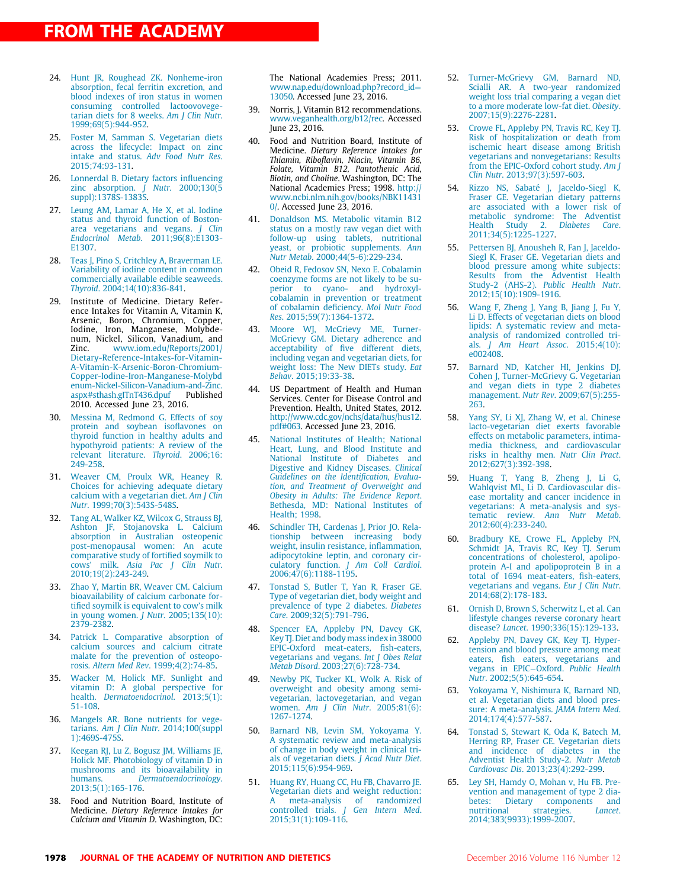- <span id="page-8-0"></span>24. [Hunt JR, Roughead ZK. Nonheme-iron](http://refhub.elsevier.com/S2212-2672(16)31192-3/sref24) [absorption, fecal ferritin excretion, and](http://refhub.elsevier.com/S2212-2672(16)31192-3/sref24) [blood indexes of iron status in women](http://refhub.elsevier.com/S2212-2672(16)31192-3/sref24) [consuming controlled lactoovovege](http://refhub.elsevier.com/S2212-2672(16)31192-3/sref24)[tarian diets for 8 weeks.](http://refhub.elsevier.com/S2212-2672(16)31192-3/sref24) Am J Clin Nutr. [1999;69\(5\):944-952.](http://refhub.elsevier.com/S2212-2672(16)31192-3/sref24)
- 25. [Foster M, Samman S. Vegetarian diets](http://refhub.elsevier.com/S2212-2672(16)31192-3/sref25) [across the lifecycle: Impact on zinc](http://refhub.elsevier.com/S2212-2672(16)31192-3/sref25) intake and status. [Adv Food Nutr Res](http://refhub.elsevier.com/S2212-2672(16)31192-3/sref25). [2015;74:93-131.](http://refhub.elsevier.com/S2212-2672(16)31192-3/sref25)
- 26. [Lonnerdal B. Dietary factors in](http://refhub.elsevier.com/S2212-2672(16)31192-3/sref26)fluencing [zinc absorption.](http://refhub.elsevier.com/S2212-2672(16)31192-3/sref26) J Nutr. 2000;130(5 [suppl\):1378S-1383S.](http://refhub.elsevier.com/S2212-2672(16)31192-3/sref26)
- 27. [Leung AM, Lamar A, He X, et al. Iodine](http://refhub.elsevier.com/S2212-2672(16)31192-3/sref27) [status and thyroid function of Boston](http://refhub.elsevier.com/S2212-2672(16)31192-3/sref27)[area vegetarians and vegans.](http://refhub.elsevier.com/S2212-2672(16)31192-3/sref27) J Clin Endocrinol Metab[. 2011;96\(8\):E1303-](http://refhub.elsevier.com/S2212-2672(16)31192-3/sref27) [E1307](http://refhub.elsevier.com/S2212-2672(16)31192-3/sref27).
- 28. [Teas J, Pino S, Critchley A, Braverman LE.](http://refhub.elsevier.com/S2212-2672(16)31192-3/sref28) [Variability of iodine content in common](http://refhub.elsevier.com/S2212-2672(16)31192-3/sref28) [commercially available edible seaweeds.](http://refhub.elsevier.com/S2212-2672(16)31192-3/sref28) Thyroid[. 2004;14\(10\):836-841](http://refhub.elsevier.com/S2212-2672(16)31192-3/sref28).
- 29. Institute of Medicine. Dietary Reference Intakes for Vitamin A, Vitamin K, Arsenic, Boron, Chromium, Copper, Iodine, Iron, Manganese, Molybdenum, Nickel, Silicon, Vanadium, and Zinc. [www.iom.edu/Reports/2001/](http://www.iom.edu/Reports/2001/Dietary-Reference-Intakes-for-Vitamin-A-Vitamin-K-Arsenic-Boron-Chromium-Copper-Iodine-Iron-Manganese-Molybdenum-Nickel-Silicon-Vanadium-and-Zinc.aspx#sthash.gITnT436.dpuf) [Dietary-Reference-Intakes-for-Vitamin-](http://www.iom.edu/Reports/2001/Dietary-Reference-Intakes-for-Vitamin-A-Vitamin-K-Arsenic-Boron-Chromium-Copper-Iodine-Iron-Manganese-Molybdenum-Nickel-Silicon-Vanadium-and-Zinc.aspx#sthash.gITnT436.dpuf)[A-Vitamin-K-Arsenic-Boron-Chromium-](http://www.iom.edu/Reports/2001/Dietary-Reference-Intakes-for-Vitamin-A-Vitamin-K-Arsenic-Boron-Chromium-Copper-Iodine-Iron-Manganese-Molybdenum-Nickel-Silicon-Vanadium-and-Zinc.aspx#sthash.gITnT436.dpuf)[Copper-Iodine-Iron-Manganese-Molybd](http://www.iom.edu/Reports/2001/Dietary-Reference-Intakes-for-Vitamin-A-Vitamin-K-Arsenic-Boron-Chromium-Copper-Iodine-Iron-Manganese-Molybdenum-Nickel-Silicon-Vanadium-and-Zinc.aspx#sthash.gITnT436.dpuf) [enum-Nickel-Silicon-Vanadium-and-Zinc.](http://www.iom.edu/Reports/2001/Dietary-Reference-Intakes-for-Vitamin-A-Vitamin-K-Arsenic-Boron-Chromium-Copper-Iodine-Iron-Manganese-Molybdenum-Nickel-Silicon-Vanadium-and-Zinc.aspx#sthash.gITnT436.dpuf) [aspx#sthash.gITnT436.dpuf](http://www.iom.edu/Reports/2001/Dietary-Reference-Intakes-for-Vitamin-A-Vitamin-K-Arsenic-Boron-Chromium-Copper-Iodine-Iron-Manganese-Molybdenum-Nickel-Silicon-Vanadium-and-Zinc.aspx#sthash.gITnT436.dpuf) Published 2010. Accessed June 23, 2016.
- 30. [Messina M, Redmond G. Effects of soy](http://refhub.elsevier.com/S2212-2672(16)31192-3/sref30) [protein and soybean iso](http://refhub.elsevier.com/S2212-2672(16)31192-3/sref30)flavones on [thyroid function in healthy adults and](http://refhub.elsevier.com/S2212-2672(16)31192-3/sref30) [hypothyroid patients: A review of the](http://refhub.elsevier.com/S2212-2672(16)31192-3/sref30) [relevant literature.](http://refhub.elsevier.com/S2212-2672(16)31192-3/sref30) Thyroid. 2006;16: [249-258](http://refhub.elsevier.com/S2212-2672(16)31192-3/sref30).
- 31. [Weaver CM, Proulx WR, Heaney R.](http://refhub.elsevier.com/S2212-2672(16)31192-3/sref31) [Choices for achieving adequate dietary](http://refhub.elsevier.com/S2212-2672(16)31192-3/sref31) [calcium with a vegetarian diet.](http://refhub.elsevier.com/S2212-2672(16)31192-3/sref31) Am J Clin Nutr[. 1999;70\(3\):543S-548S](http://refhub.elsevier.com/S2212-2672(16)31192-3/sref31).
- 32. [Tang AL, Walker KZ, Wilcox G, Strauss BJ,](http://refhub.elsevier.com/S2212-2672(16)31192-3/sref32) [Ashton JF, Stojanovska L. Calcium](http://refhub.elsevier.com/S2212-2672(16)31192-3/sref32) [absorption in Australian osteopenic](http://refhub.elsevier.com/S2212-2672(16)31192-3/sref32) [post-menopausal women: An acute](http://refhub.elsevier.com/S2212-2672(16)31192-3/sref32) [comparative study of forti](http://refhub.elsevier.com/S2212-2672(16)31192-3/sref32)fied soymilk to cows' milk. [Asia Pac J Clin Nutr](http://refhub.elsevier.com/S2212-2672(16)31192-3/sref32). [2010;19\(2\):243-249.](http://refhub.elsevier.com/S2212-2672(16)31192-3/sref32)
- 33. [Zhao Y, Martin BR, Weaver CM. Calcium](http://refhub.elsevier.com/S2212-2672(16)31192-3/sref33) [bioavailability of calcium carbonate for](http://refhub.elsevier.com/S2212-2672(16)31192-3/sref33)tifi[ed soymilk is equivalent to cow](http://refhub.elsevier.com/S2212-2672(16)31192-3/sref33)'s milk [in young women.](http://refhub.elsevier.com/S2212-2672(16)31192-3/sref33) J Nutr. 2005;135(10): [2379-2382](http://refhub.elsevier.com/S2212-2672(16)31192-3/sref33).
- 34. [Patrick L. Comparative absorption of](http://refhub.elsevier.com/S2212-2672(16)31192-3/sref34) [calcium sources and calcium citrate](http://refhub.elsevier.com/S2212-2672(16)31192-3/sref34) [malate for the prevention of osteopo](http://refhub.elsevier.com/S2212-2672(16)31192-3/sref34)rosis. Altern Med Rev[. 1999;4\(2\):74-85](http://refhub.elsevier.com/S2212-2672(16)31192-3/sref34).
- 35. [Wacker M, Holick MF. Sunlight and](http://refhub.elsevier.com/S2212-2672(16)31192-3/sref35) [vitamin D: A global perspective for](http://refhub.elsevier.com/S2212-2672(16)31192-3/sref35) health. [Dermatoendocrinol](http://refhub.elsevier.com/S2212-2672(16)31192-3/sref35). 2013;5(1): [51-108](http://refhub.elsevier.com/S2212-2672(16)31192-3/sref35).
- 36. [Mangels AR. Bone nutrients for vege](http://refhub.elsevier.com/S2212-2672(16)31192-3/sref36)tarians. Am J Clin Nutr[. 2014;100\(suppl](http://refhub.elsevier.com/S2212-2672(16)31192-3/sref36) [1\):469S-475S](http://refhub.elsevier.com/S2212-2672(16)31192-3/sref36).
- 37. [Keegan RJ, Lu Z, Bogusz JM, Williams JE,](http://refhub.elsevier.com/S2212-2672(16)31192-3/sref37) [Holick MF. Photobiology of vitamin D in](http://refhub.elsevier.com/S2212-2672(16)31192-3/sref37) [mushrooms and its bioavailability in](http://refhub.elsevier.com/S2212-2672(16)31192-3/sref37) humans. [Dermatoendocrinology](http://refhub.elsevier.com/S2212-2672(16)31192-3/sref37). [2013;5\(1\):165-176.](http://refhub.elsevier.com/S2212-2672(16)31192-3/sref37)
- 38. Food and Nutrition Board, Institute of Medicine. Dietary Reference Intakes for Calcium and Vitamin D. Washington, DC:

The National Academies Press; 2011. [www.nap.edu/download.php?record\\_id](http://www.nap.edu/download.php?record_id=13050)¼ [13050.](http://www.nap.edu/download.php?record_id=13050) Accessed June 23, 2016.

- 39. Norris, J. Vitamin B12 recommendations. [www.veganhealth.org/b12/rec](http://www.veganhealth.org/b12/rec). Accessed June 23, 2016.
- 40. Food and Nutrition Board, Institute of Medicine. Dietary Reference Intakes for Thiamin, Riboflavin, Niacin, Vitamin B6, Folate, Vitamin B12, Pantothenic Acid, Biotin, and Choline. Washington, DC: The National Academies Press; 1998. [http://](http://www.ncbi.nlm.nih.gov/books/NBK114310/) [www.ncbi.nlm.nih.gov/books/NBK11431](http://www.ncbi.nlm.nih.gov/books/NBK114310/) [0/.](http://www.ncbi.nlm.nih.gov/books/NBK114310/) Accessed June 23, 2016.
- 41. [Donaldson MS. Metabolic vitamin B12](http://refhub.elsevier.com/S2212-2672(16)31192-3/sref41) [status on a mostly raw vegan diet with](http://refhub.elsevier.com/S2212-2672(16)31192-3/sref41) [follow-up using tablets, nutritional](http://refhub.elsevier.com/S2212-2672(16)31192-3/sref41) [yeast, or probiotic supplements.](http://refhub.elsevier.com/S2212-2672(16)31192-3/sref41) Ann Nutr Metab[. 2000;44\(5-6\):229-234.](http://refhub.elsevier.com/S2212-2672(16)31192-3/sref41)
- 42. [Obeid R, Fedosov SN, Nexo E. Cobalamin](http://refhub.elsevier.com/S2212-2672(16)31192-3/sref42) [coenzyme forms are not likely to be su](http://refhub.elsevier.com/S2212-2672(16)31192-3/sref42)[perior to cyano- and hydroxyl](http://refhub.elsevier.com/S2212-2672(16)31192-3/sref42)[cobalamin in prevention or treatment](http://refhub.elsevier.com/S2212-2672(16)31192-3/sref42) [of cobalamin de](http://refhub.elsevier.com/S2212-2672(16)31192-3/sref42)ficiency. Mol Nutr Food Res[. 2015;59\(7\):1364-1372.](http://refhub.elsevier.com/S2212-2672(16)31192-3/sref42)
- 43. [Moore WJ, McGrievy ME, Turner-](http://refhub.elsevier.com/S2212-2672(16)31192-3/sref43)[McGrievy GM. Dietary adherence and](http://refhub.elsevier.com/S2212-2672(16)31192-3/sref43) acceptability of fi[ve different diets,](http://refhub.elsevier.com/S2212-2672(16)31192-3/sref43) [including vegan and vegetarian diets, for](http://refhub.elsevier.com/S2212-2672(16)31192-3/sref43) [weight loss: The New DIETs study.](http://refhub.elsevier.com/S2212-2672(16)31192-3/sref43) Eat Behav[. 2015;19:33-38.](http://refhub.elsevier.com/S2212-2672(16)31192-3/sref43)
- 44. US Department of Health and Human Services. Center for Disease Control and Prevention. Health, United States, 2012. [http://www.cdc.gov/nchs/data/hus/hus12.](http://www.cdc.gov/nchs/data/hus/hus12.pdf#063) [pdf#063.](http://www.cdc.gov/nchs/data/hus/hus12.pdf#063) Accessed June 23, 2016.
- 45. [National Institutes of Health; National](http://refhub.elsevier.com/S2212-2672(16)31192-3/sref45) [Heart, Lung, and Blood Institute and](http://refhub.elsevier.com/S2212-2672(16)31192-3/sref45) [National Institute of Diabetes and](http://refhub.elsevier.com/S2212-2672(16)31192-3/sref45) [Digestive and Kidney Diseases.](http://refhub.elsevier.com/S2212-2672(16)31192-3/sref45) Clinical [Guidelines on the Identi](http://refhub.elsevier.com/S2212-2672(16)31192-3/sref45)fication, Evalua[tion, and Treatment of Overweight and](http://refhub.elsevier.com/S2212-2672(16)31192-3/sref45) [Obesity in Adults: The Evidence Report](http://refhub.elsevier.com/S2212-2672(16)31192-3/sref45). [Bethesda, MD: National Institutes of](http://refhub.elsevier.com/S2212-2672(16)31192-3/sref45) [Health; 1998](http://refhub.elsevier.com/S2212-2672(16)31192-3/sref45).
- 46. [Schindler TH, Cardenas J, Prior JO. Rela](http://refhub.elsevier.com/S2212-2672(16)31192-3/sref46)[tionship between increasing body](http://refhub.elsevier.com/S2212-2672(16)31192-3/sref46) [weight, insulin resistance, in](http://refhub.elsevier.com/S2212-2672(16)31192-3/sref46)flammation, [adipocytokine leptin, and coronary cir-](http://refhub.elsevier.com/S2212-2672(16)31192-3/sref46)culatory function. [J Am Coll Cardiol](http://refhub.elsevier.com/S2212-2672(16)31192-3/sref46). [2006;47\(6\):1188-1195](http://refhub.elsevier.com/S2212-2672(16)31192-3/sref46).
- 47. [Tonstad S, Butler T, Yan R, Fraser GE.](http://refhub.elsevier.com/S2212-2672(16)31192-3/sref47) [Type of vegetarian diet, body weight and](http://refhub.elsevier.com/S2212-2672(16)31192-3/sref47) [prevalence of type 2 diabetes.](http://refhub.elsevier.com/S2212-2672(16)31192-3/sref47) Diabetes Care[. 2009;32\(5\):791-796](http://refhub.elsevier.com/S2212-2672(16)31192-3/sref47).
- 48. [Spencer EA, Appleby PN, Davey GK,](http://refhub.elsevier.com/S2212-2672(16)31192-3/sref48) [Key TJ. Diet and bodymass index in 38000](http://refhub.elsevier.com/S2212-2672(16)31192-3/sref48) [EPIC-Oxford meat-eaters,](http://refhub.elsevier.com/S2212-2672(16)31192-3/sref48) fish-eaters, [vegetarians and vegans.](http://refhub.elsevier.com/S2212-2672(16)31192-3/sref48) Int J Obes Relat Metab Disord[. 2003;27\(6\):728-734.](http://refhub.elsevier.com/S2212-2672(16)31192-3/sref48)
- 49. [Newby PK, Tucker KL, Wolk A. Risk of](http://refhub.elsevier.com/S2212-2672(16)31192-3/sref49) [overweight and obesity among semi](http://refhub.elsevier.com/S2212-2672(16)31192-3/sref49)[vegetarian, lactovegetarian, and vegan](http://refhub.elsevier.com/S2212-2672(16)31192-3/sref49) women. [Am J Clin Nutr](http://refhub.elsevier.com/S2212-2672(16)31192-3/sref49). 2005;81(6): [1267-1274](http://refhub.elsevier.com/S2212-2672(16)31192-3/sref49).
- [Barnard NB, Levin SM, Yokoyama Y.](http://refhub.elsevier.com/S2212-2672(16)31192-3/sref50) [A systematic review and meta-analysis](http://refhub.elsevier.com/S2212-2672(16)31192-3/sref50) [of change in body weight in clinical tri](http://refhub.elsevier.com/S2212-2672(16)31192-3/sref50)[als of vegetarian diets.](http://refhub.elsevier.com/S2212-2672(16)31192-3/sref50) J Acad Nutr Diet. [2015;115\(6\):954-969](http://refhub.elsevier.com/S2212-2672(16)31192-3/sref50).
- 51. [Huang RY, Huang CC, Hu FB, Chavarro JE.](http://refhub.elsevier.com/S2212-2672(16)31192-3/sref51) [Vegetarian diets and weight reduction:](http://refhub.elsevier.com/S2212-2672(16)31192-3/sref51) [A meta-analysis of randomized](http://refhub.elsevier.com/S2212-2672(16)31192-3/sref51) controlled trials. [J Gen Intern Med](http://refhub.elsevier.com/S2212-2672(16)31192-3/sref51). [2015;31\(1\):109-116](http://refhub.elsevier.com/S2212-2672(16)31192-3/sref51).
- 52. [Turner-McGrievy GM, Barnard ND,](http://refhub.elsevier.com/S2212-2672(16)31192-3/sref52) [Scialli AR. A two-year randomized](http://refhub.elsevier.com/S2212-2672(16)31192-3/sref52) [weight loss trial comparing a vegan diet](http://refhub.elsevier.com/S2212-2672(16)31192-3/sref52) [to a more moderate low-fat diet.](http://refhub.elsevier.com/S2212-2672(16)31192-3/sref52) Obesity. [2007;15\(9\):2276-2281.](http://refhub.elsevier.com/S2212-2672(16)31192-3/sref52)
- 53. [Crowe FL, Appleby PN, Travis RC, Key TJ.](http://refhub.elsevier.com/S2212-2672(16)31192-3/sref53) [Risk of hospitalization or death from](http://refhub.elsevier.com/S2212-2672(16)31192-3/sref53) [ischemic heart disease among British](http://refhub.elsevier.com/S2212-2672(16)31192-3/sref53) [vegetarians and nonvegetarians: Results](http://refhub.elsevier.com/S2212-2672(16)31192-3/sref53) [from the EPIC-Oxford cohort study.](http://refhub.elsevier.com/S2212-2672(16)31192-3/sref53) Am J Clin Nutr[. 2013;97\(3\):597-603.](http://refhub.elsevier.com/S2212-2672(16)31192-3/sref53)
- 54. [Rizzo NS, Sabaté J, Jaceldo-Siegl K,](http://refhub.elsevier.com/S2212-2672(16)31192-3/sref54) [Fraser GE. Vegetarian dietary patterns](http://refhub.elsevier.com/S2212-2672(16)31192-3/sref54) [are associated with a lower risk of](http://refhub.elsevier.com/S2212-2672(16)31192-3/sref54) [metabolic syndrome: The Adventist](http://refhub.elsevier.com/S2212-2672(16)31192-3/sref54) [Health Study 2.](http://refhub.elsevier.com/S2212-2672(16)31192-3/sref54) Diabetes Care. [2011;34\(5\):1225-1227.](http://refhub.elsevier.com/S2212-2672(16)31192-3/sref54)
- 55. [Pettersen BJ, Anousheh R, Fan J, Jaceldo-](http://refhub.elsevier.com/S2212-2672(16)31192-3/sref55)[Siegl K, Fraser GE. Vegetarian diets and](http://refhub.elsevier.com/S2212-2672(16)31192-3/sref55) [blood pressure among white subjects:](http://refhub.elsevier.com/S2212-2672(16)31192-3/sref55) [Results from the Adventist Health](http://refhub.elsevier.com/S2212-2672(16)31192-3/sref55) Study-2 (AHS-2). [Public Health Nutr](http://refhub.elsevier.com/S2212-2672(16)31192-3/sref55). [2012;15\(10\):1909-1916.](http://refhub.elsevier.com/S2212-2672(16)31192-3/sref55)
- 56. [Wang F, Zheng J, Yang B, Jiang J, Fu Y,](http://refhub.elsevier.com/S2212-2672(16)31192-3/sref56) [Li D. Effects of vegetarian diets on blood](http://refhub.elsevier.com/S2212-2672(16)31192-3/sref56) [lipids: A systematic review and meta-](http://refhub.elsevier.com/S2212-2672(16)31192-3/sref56)[analysis of randomized controlled tri](http://refhub.elsevier.com/S2212-2672(16)31192-3/sref56)als. [J Am Heart Assoc](http://refhub.elsevier.com/S2212-2672(16)31192-3/sref56). 2015;4(10): [e002408.](http://refhub.elsevier.com/S2212-2672(16)31192-3/sref56)
- 57. [Barnard ND, Katcher HI, Jenkins DJ,](http://refhub.elsevier.com/S2212-2672(16)31192-3/sref57) [Cohen J, Turner-McGrievy G. Vegetarian](http://refhub.elsevier.com/S2212-2672(16)31192-3/sref57) [and vegan diets in type 2 diabetes](http://refhub.elsevier.com/S2212-2672(16)31192-3/sref57) management. Nutr Rev[. 2009;67\(5\):255-](http://refhub.elsevier.com/S2212-2672(16)31192-3/sref57) [263.](http://refhub.elsevier.com/S2212-2672(16)31192-3/sref57)
- 58. [Yang SY, Li XJ, Zhang W, et al. Chinese](http://refhub.elsevier.com/S2212-2672(16)31192-3/sref58) [lacto-vegetarian diet exerts favorable](http://refhub.elsevier.com/S2212-2672(16)31192-3/sref58) [effects on metabolic parameters, intima](http://refhub.elsevier.com/S2212-2672(16)31192-3/sref58)[media thickness, and cardiovascular](http://refhub.elsevier.com/S2212-2672(16)31192-3/sref58) [risks in healthy men.](http://refhub.elsevier.com/S2212-2672(16)31192-3/sref58) Nutr Clin Pract. [2012;627\(3\):392-398.](http://refhub.elsevier.com/S2212-2672(16)31192-3/sref58)
- 59. [Huang T, Yang B, Zheng J, Li G,](http://refhub.elsevier.com/S2212-2672(16)31192-3/sref59) [Wahlqvist ML, Li D. Cardiovascular dis](http://refhub.elsevier.com/S2212-2672(16)31192-3/sref59)[ease mortality and cancer incidence in](http://refhub.elsevier.com/S2212-2672(16)31192-3/sref59) [vegetarians: A meta-analysis and sys](http://refhub.elsevier.com/S2212-2672(16)31192-3/sref59)tematic review. [Ann Nutr Metab](http://refhub.elsevier.com/S2212-2672(16)31192-3/sref59). [2012;60\(4\):233-240.](http://refhub.elsevier.com/S2212-2672(16)31192-3/sref59)
- 60. [Bradbury KE, Crowe FL, Appleby PN,](http://refhub.elsevier.com/S2212-2672(16)31192-3/sref60) [Schmidt JA, Travis RC, Key TJ. Serum](http://refhub.elsevier.com/S2212-2672(16)31192-3/sref60) [concentrations of cholesterol, apolipo](http://refhub.elsevier.com/S2212-2672(16)31192-3/sref60)[protein A-I and apolipoprotein B in a](http://refhub.elsevier.com/S2212-2672(16)31192-3/sref60) [total of 1694 meat-eaters,](http://refhub.elsevier.com/S2212-2672(16)31192-3/sref60) fish-eaters, [vegetarians and vegans.](http://refhub.elsevier.com/S2212-2672(16)31192-3/sref60) Eur J Clin Nutr. [2014;68\(2\):178-183.](http://refhub.elsevier.com/S2212-2672(16)31192-3/sref60)
- 61. [Ornish D, Brown S, Scherwitz L, et al. Can](http://refhub.elsevier.com/S2212-2672(16)31192-3/sref61) [lifestyle changes reverse coronary heart](http://refhub.elsevier.com/S2212-2672(16)31192-3/sref61) disease? Lancet[. 1990;336\(15\):129-133.](http://refhub.elsevier.com/S2212-2672(16)31192-3/sref61)
- 62. [Appleby PN, Davey GK, Key TJ. Hyper](http://refhub.elsevier.com/S2212-2672(16)31192-3/sref62)[tension and blood pressure among meat](http://refhub.elsevier.com/S2212-2672(16)31192-3/sref62) eaters, fi[sh eaters, vegetarians and](http://refhub.elsevier.com/S2212-2672(16)31192-3/sref62) [vegans in EPIC](http://refhub.elsevier.com/S2212-2672(16)31192-3/sref62)-Oxford. [Public Health](http://refhub.elsevier.com/S2212-2672(16)31192-3/sref62) Nutr[. 2002;5\(5\):645-654.](http://refhub.elsevier.com/S2212-2672(16)31192-3/sref62)
- 63. [Yokoyama Y, Nishimura K, Barnard ND,](http://refhub.elsevier.com/S2212-2672(16)31192-3/sref63) [et al. Vegetarian diets and blood pres](http://refhub.elsevier.com/S2212-2672(16)31192-3/sref63)[sure: A meta-analysis.](http://refhub.elsevier.com/S2212-2672(16)31192-3/sref63) JAMA Intern Med. [2014;174\(4\):577-587.](http://refhub.elsevier.com/S2212-2672(16)31192-3/sref63)
- 64. [Tonstad S, Stewart K, Oda K, Batech M,](http://refhub.elsevier.com/S2212-2672(16)31192-3/sref64) [Herring RP, Fraser GE. Vegetarian diets](http://refhub.elsevier.com/S2212-2672(16)31192-3/sref64) [and incidence of diabetes in the](http://refhub.elsevier.com/S2212-2672(16)31192-3/sref64) [Adventist Health Study-2.](http://refhub.elsevier.com/S2212-2672(16)31192-3/sref64) Nutr Metab Cardiovasc Dis[. 2013;23\(4\):292-299.](http://refhub.elsevier.com/S2212-2672(16)31192-3/sref64)
- 65. [Ley SH, Hamdy O, Mohan v, Hu FB. Pre](http://refhub.elsevier.com/S2212-2672(16)31192-3/sref65)vention and management of type 2 dia-<br>betes: Dietary components and [betes: Dietary components and](http://refhub.elsevier.com/S2212-2672(16)31192-3/sref65)<br>nutritional strategies. Lancet. nutritional [2014;383\(9933\):1999-2007.](http://refhub.elsevier.com/S2212-2672(16)31192-3/sref65)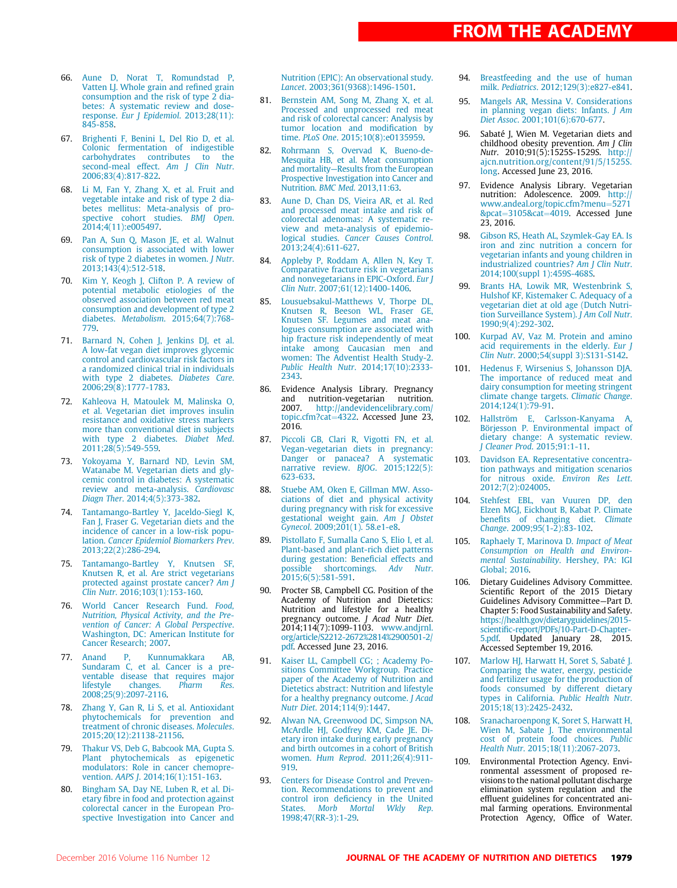- <span id="page-9-0"></span>66. [Aune D, Norat T, Romundstad P,](http://refhub.elsevier.com/S2212-2672(16)31192-3/sref66) [Vatten LJ. Whole grain and re](http://refhub.elsevier.com/S2212-2672(16)31192-3/sref66)fined grain [consumption and the risk of type 2 dia](http://refhub.elsevier.com/S2212-2672(16)31192-3/sref66)[betes: A systematic review and dose](http://refhub.elsevier.com/S2212-2672(16)31192-3/sref66)response. [Eur J Epidemiol](http://refhub.elsevier.com/S2212-2672(16)31192-3/sref66). 2013;28(11): [845-858.](http://refhub.elsevier.com/S2212-2672(16)31192-3/sref66)
- 67. [Brighenti F, Benini L, Del Rio D, et al.](http://refhub.elsevier.com/S2212-2672(16)31192-3/sref67) [Colonic fermentation of indigestible](http://refhub.elsevier.com/S2212-2672(16)31192-3/sref67) [carbohydrates contributes to the](http://refhub.elsevier.com/S2212-2672(16)31192-3/sref67) [second-meal effect.](http://refhub.elsevier.com/S2212-2672(16)31192-3/sref67) Am J Clin Nutr. [2006;83\(4\):817-822.](http://refhub.elsevier.com/S2212-2672(16)31192-3/sref67)
- 68. [Li M, Fan Y, Zhang X, et al. Fruit and](http://refhub.elsevier.com/S2212-2672(16)31192-3/sref68) [vegetable intake and risk of type 2 dia](http://refhub.elsevier.com/S2212-2672(16)31192-3/sref68)[betes mellitus: Meta-analysis of pro](http://refhub.elsevier.com/S2212-2672(16)31192-3/sref68)[spective cohort studies.](http://refhub.elsevier.com/S2212-2672(16)31192-3/sref68) BMJ Open. [2014;4\(11\):e005497.](http://refhub.elsevier.com/S2212-2672(16)31192-3/sref68)
- 69. [Pan A, Sun Q, Mason JE, et al. Walnut](http://refhub.elsevier.com/S2212-2672(16)31192-3/sref69) [consumption is associated with lower](http://refhub.elsevier.com/S2212-2672(16)31192-3/sref69) [risk of type 2 diabetes in women.](http://refhub.elsevier.com/S2212-2672(16)31192-3/sref69) J Nutr. [2013;143\(4\):512-518.](http://refhub.elsevier.com/S2212-2672(16)31192-3/sref69)
- 70. [Kim Y, Keogh J, Clifton P. A review of](http://refhub.elsevier.com/S2212-2672(16)31192-3/sref70) [potential metabolic etiologies of the](http://refhub.elsevier.com/S2212-2672(16)31192-3/sref70) [observed association between red meat](http://refhub.elsevier.com/S2212-2672(16)31192-3/sref70) [consumption and development of type 2](http://refhub.elsevier.com/S2212-2672(16)31192-3/sref70) diabetes. Metabolism[. 2015;64\(7\):768-](http://refhub.elsevier.com/S2212-2672(16)31192-3/sref70) [779](http://refhub.elsevier.com/S2212-2672(16)31192-3/sref70).
- 71. [Barnard N, Cohen J, Jenkins DJ, et al.](http://refhub.elsevier.com/S2212-2672(16)31192-3/sref71) [A low-fat vegan diet improves glycemic](http://refhub.elsevier.com/S2212-2672(16)31192-3/sref71) [control and cardiovascular risk factors in](http://refhub.elsevier.com/S2212-2672(16)31192-3/sref71) [a randomized clinical trial in individuals](http://refhub.elsevier.com/S2212-2672(16)31192-3/sref71) [with type 2 diabetes.](http://refhub.elsevier.com/S2212-2672(16)31192-3/sref71) Diabetes Care. [2006;29\(8\):1777-1783.](http://refhub.elsevier.com/S2212-2672(16)31192-3/sref71)
- 72. [Kahleova H, Matoulek M, Malinska O,](http://refhub.elsevier.com/S2212-2672(16)31192-3/sref72) [et al. Vegetarian diet improves insulin](http://refhub.elsevier.com/S2212-2672(16)31192-3/sref72) [resistance and oxidative stress markers](http://refhub.elsevier.com/S2212-2672(16)31192-3/sref72) [more than conventional diet in subjects](http://refhub.elsevier.com/S2212-2672(16)31192-3/sref72) [with type 2 diabetes.](http://refhub.elsevier.com/S2212-2672(16)31192-3/sref72) Diabet Med. [2011;28\(5\):549-559.](http://refhub.elsevier.com/S2212-2672(16)31192-3/sref72)
- 73. [Yokoyama Y, Barnard ND, Levin SM,](http://refhub.elsevier.com/S2212-2672(16)31192-3/sref73) [Watanabe M. Vegetarian diets and gly](http://refhub.elsevier.com/S2212-2672(16)31192-3/sref73)[cemic control in diabetes: A systematic](http://refhub.elsevier.com/S2212-2672(16)31192-3/sref73) [review and meta-analysis.](http://refhub.elsevier.com/S2212-2672(16)31192-3/sref73) Cardiovasc Diagn Ther[. 2014;4\(5\):373-382.](http://refhub.elsevier.com/S2212-2672(16)31192-3/sref73)
- 74. [Tantamango-Bartley Y, Jaceldo-Siegl K,](http://refhub.elsevier.com/S2212-2672(16)31192-3/sref74) [Fan J, Fraser G. Vegetarian diets and the](http://refhub.elsevier.com/S2212-2672(16)31192-3/sref74) [incidence of cancer in a low-risk popu](http://refhub.elsevier.com/S2212-2672(16)31192-3/sref74)lation. [Cancer Epidemiol Biomarkers Prev](http://refhub.elsevier.com/S2212-2672(16)31192-3/sref74). [2013;22\(2\):286-294.](http://refhub.elsevier.com/S2212-2672(16)31192-3/sref74)
- 75. [Tantamango-Bartley Y, Knutsen SF,](http://refhub.elsevier.com/S2212-2672(16)31192-3/sref75) [Knutsen R, et al. Are strict vegetarians](http://refhub.elsevier.com/S2212-2672(16)31192-3/sref75) [protected against prostate cancer?](http://refhub.elsevier.com/S2212-2672(16)31192-3/sref75) Am J Clin Nutr[. 2016;103\(1\):153-160.](http://refhub.elsevier.com/S2212-2672(16)31192-3/sref75)
- 76. [World Cancer Research Fund.](http://refhub.elsevier.com/S2212-2672(16)31192-3/sref77) Food, [Nutrition, Physical Activity, and the Pre](http://refhub.elsevier.com/S2212-2672(16)31192-3/sref77)[vention of Cancer: A Global Perspective](http://refhub.elsevier.com/S2212-2672(16)31192-3/sref77). [Washington, DC: American Institute for](http://refhub.elsevier.com/S2212-2672(16)31192-3/sref77) [Cancer Research; 2007](http://refhub.elsevier.com/S2212-2672(16)31192-3/sref77).
- 77. [Anand P, Kunnumakkara AB,](http://refhub.elsevier.com/S2212-2672(16)31192-3/sref78) [Sundaram C, et al. Cancer is a pre](http://refhub.elsevier.com/S2212-2672(16)31192-3/sref78)[ventable disease that requires major](http://refhub.elsevier.com/S2212-2672(16)31192-3/sref78) [lifestyle changes.](http://refhub.elsevier.com/S2212-2672(16)31192-3/sref78) Pharm Res. [2008;25\(9\):2097-2116.](http://refhub.elsevier.com/S2212-2672(16)31192-3/sref78)
- 78. [Zhang Y, Gan R, Li S, et al. Antioxidant](http://refhub.elsevier.com/S2212-2672(16)31192-3/sref79) [phytochemicals for prevention and](http://refhub.elsevier.com/S2212-2672(16)31192-3/sref79) [treatment of chronic diseases.](http://refhub.elsevier.com/S2212-2672(16)31192-3/sref79) Molecules. [2015;20\(12\):21138-21156.](http://refhub.elsevier.com/S2212-2672(16)31192-3/sref79)
- 79. [Thakur VS, Deb G, Babcook MA, Gupta S.](http://refhub.elsevier.com/S2212-2672(16)31192-3/sref80) [Plant phytochemicals as epigenetic](http://refhub.elsevier.com/S2212-2672(16)31192-3/sref80) [modulators: Role in cancer chemopre-](http://refhub.elsevier.com/S2212-2672(16)31192-3/sref80)vention. AAPS J[. 2014;16\(1\):151-163.](http://refhub.elsevier.com/S2212-2672(16)31192-3/sref80)
- 80. [Bingham SA, Day NE, Luben R, et al. Di](http://refhub.elsevier.com/S2212-2672(16)31192-3/sref81)etary fi[bre in food and protection against](http://refhub.elsevier.com/S2212-2672(16)31192-3/sref81) [colorectal cancer in the European Pro](http://refhub.elsevier.com/S2212-2672(16)31192-3/sref81)[spective Investigation into Cancer and](http://refhub.elsevier.com/S2212-2672(16)31192-3/sref81)

[Nutrition \(EPIC\): An observational study.](http://refhub.elsevier.com/S2212-2672(16)31192-3/sref81) Lancet[. 2003;361\(9368\):1496-1501.](http://refhub.elsevier.com/S2212-2672(16)31192-3/sref81)

- 81. [Bernstein AM, Song M, Zhang X, et al.](http://refhub.elsevier.com/S2212-2672(16)31192-3/sref82) [Processed and unprocessed red meat](http://refhub.elsevier.com/S2212-2672(16)31192-3/sref82) [and risk of colorectal cancer: Analysis by](http://refhub.elsevier.com/S2212-2672(16)31192-3/sref82) [tumor location and modi](http://refhub.elsevier.com/S2212-2672(16)31192-3/sref82)fication by time. PLoS One[. 2015;10\(8\):e0135959.](http://refhub.elsevier.com/S2212-2672(16)31192-3/sref82)
- 82. [Rohrmann S, Overvad K, Bueno-de-](http://refhub.elsevier.com/S2212-2672(16)31192-3/sref83)[Mesquita HB, et al. Meat consumption](http://refhub.elsevier.com/S2212-2672(16)31192-3/sref83) and mortality—[Results from the European](http://refhub.elsevier.com/S2212-2672(16)31192-3/sref83) [Prospective Investigation into Cancer and](http://refhub.elsevier.com/S2212-2672(16)31192-3/sref83) Nutrition. BMC Med[. 2013,11:63.](http://refhub.elsevier.com/S2212-2672(16)31192-3/sref83)
- 83. [Aune D, Chan DS, Vieira AR, et al. Red](http://refhub.elsevier.com/S2212-2672(16)31192-3/sref84) [and processed meat intake and risk of](http://refhub.elsevier.com/S2212-2672(16)31192-3/sref84) [colorectal adenomas: A systematic re](http://refhub.elsevier.com/S2212-2672(16)31192-3/sref84)[view and meta-analysis of epidemio](http://refhub.elsevier.com/S2212-2672(16)31192-3/sref84)logical studies. [Cancer Causes Control](http://refhub.elsevier.com/S2212-2672(16)31192-3/sref84). [2013;24\(4\):611-627](http://refhub.elsevier.com/S2212-2672(16)31192-3/sref84).
- 84. [Appleby P, Roddam A, Allen N, Key T.](http://refhub.elsevier.com/S2212-2672(16)31192-3/sref85) [Comparative fracture risk in vegetarians](http://refhub.elsevier.com/S2212-2672(16)31192-3/sref85) [and nonvegetarians in EPIC-Oxford.](http://refhub.elsevier.com/S2212-2672(16)31192-3/sref85) Eur J Clin Nutr[. 2007;61\(12\):1400-1406](http://refhub.elsevier.com/S2212-2672(16)31192-3/sref85).
- 85. [Lousuebsakul-Matthews V, Thorpe DL,](http://refhub.elsevier.com/S2212-2672(16)31192-3/sref86) [Knutsen R, Beeson WL, Fraser GE,](http://refhub.elsevier.com/S2212-2672(16)31192-3/sref86) [Knutsen SF. Legumes and meat ana](http://refhub.elsevier.com/S2212-2672(16)31192-3/sref86)[logues consumption are associated with](http://refhub.elsevier.com/S2212-2672(16)31192-3/sref86) [hip fracture risk independently of meat](http://refhub.elsevier.com/S2212-2672(16)31192-3/sref86) [intake among Caucasian men and](http://refhub.elsevier.com/S2212-2672(16)31192-3/sref86) [women: The Adventist Health Study-2.](http://refhub.elsevier.com/S2212-2672(16)31192-3/sref86) Public Health Nutr[. 2014;17\(10\):2333-](http://refhub.elsevier.com/S2212-2672(16)31192-3/sref86) [2343](http://refhub.elsevier.com/S2212-2672(16)31192-3/sref86).
- 86. Evidence Analysis Library. Pregnancy and nutrition-vegetarian nutrition. 2007. [http://andevidencelibrary.com/](http://andevidencelibrary.com/topic.cfm?cat=4322) [topic.cfm?cat](http://andevidencelibrary.com/topic.cfm?cat=4322)=[4322](http://andevidencelibrary.com/topic.cfm?cat=4322). Accessed June 23, 2016.
- 87. [Piccoli GB, Clari R, Vigotti FN, et al.](http://refhub.elsevier.com/S2212-2672(16)31192-3/sref88) [Vegan-vegetarian diets in pregnancy:](http://refhub.elsevier.com/S2212-2672(16)31192-3/sref88) [Danger or panacea? A systematic](http://refhub.elsevier.com/S2212-2672(16)31192-3/sref88) [narrative review.](http://refhub.elsevier.com/S2212-2672(16)31192-3/sref88) BJOG. 2015;122(5): [623-633](http://refhub.elsevier.com/S2212-2672(16)31192-3/sref88).
- 88. [Stuebe AM, Oken E, Gillman MW. Asso](http://refhub.elsevier.com/S2212-2672(16)31192-3/sref89)[ciations of diet and physical activity](http://refhub.elsevier.com/S2212-2672(16)31192-3/sref89) [during pregnancy with risk for excessive](http://refhub.elsevier.com/S2212-2672(16)31192-3/sref89) [gestational weight gain.](http://refhub.elsevier.com/S2212-2672(16)31192-3/sref89) Am J Obstet Gynecol[. 2009;201\(1\). 58.e1-e8.](http://refhub.elsevier.com/S2212-2672(16)31192-3/sref89)
- 89. [Pistollato F, Sumalla Cano S, Elio I, et al.](http://refhub.elsevier.com/S2212-2672(16)31192-3/sref90) [Plant-based and plant-rich diet patterns](http://refhub.elsevier.com/S2212-2672(16)31192-3/sref90) [during gestation: Bene](http://refhub.elsevier.com/S2212-2672(16)31192-3/sref90)ficial effects and<br>possible shortcomings. Adv Nutr. shortcomings. Adv [2015;6\(5\):581-591](http://refhub.elsevier.com/S2212-2672(16)31192-3/sref90).
- 90. Procter SB, Campbell CG. Position of the Academy of Nutrition and Dietetics: Nutrition and lifestyle for a healthy pregnancy outcome. J Acad Nutr Diet. 2014;114(7):1099-1103. [www.andjrnl.](http://www.andjrnl.org/article/S2212-2672%2814%2900501-2/pdf) [org/article/S2212-2672%2814%2900501-2/](http://www.andjrnl.org/article/S2212-2672%2814%2900501-2/pdf) [pdf](http://www.andjrnl.org/article/S2212-2672%2814%2900501-2/pdf). Accessed June 23, 2016.
- 91. [Kaiser LL, Campbell CG; ; Academy Po](http://refhub.elsevier.com/S2212-2672(16)31192-3/sref92)[sitions Committee Workgroup. Practice](http://refhub.elsevier.com/S2212-2672(16)31192-3/sref92) [paper of the Academy of Nutrition and](http://refhub.elsevier.com/S2212-2672(16)31192-3/sref92) [Dietetics abstract: Nutrition and lifestyle](http://refhub.elsevier.com/S2212-2672(16)31192-3/sref92) [for a healthy pregnancy outcome.](http://refhub.elsevier.com/S2212-2672(16)31192-3/sref92) J Acad Nutr Diet[. 2014;114\(9\):1447](http://refhub.elsevier.com/S2212-2672(16)31192-3/sref92).
- 92. [Alwan NA, Greenwood DC, Simpson NA,](http://refhub.elsevier.com/S2212-2672(16)31192-3/sref93) [McArdle HJ, Godfrey KM, Cade JE. Di](http://refhub.elsevier.com/S2212-2672(16)31192-3/sref93)[etary iron intake during early pregnancy](http://refhub.elsevier.com/S2212-2672(16)31192-3/sref93) [and birth outcomes in a cohort of British](http://refhub.elsevier.com/S2212-2672(16)31192-3/sref93) women. Hum Reprod[. 2011;26\(4\):911-](http://refhub.elsevier.com/S2212-2672(16)31192-3/sref93) [919](http://refhub.elsevier.com/S2212-2672(16)31192-3/sref93).
- 93. [Centers for Disease Control and Preven](http://refhub.elsevier.com/S2212-2672(16)31192-3/sref94)[tion. Recommendations to prevent and](http://refhub.elsevier.com/S2212-2672(16)31192-3/sref94) control iron defi[ciency in the United](http://refhub.elsevier.com/S2212-2672(16)31192-3/sref94) States. [Morb Mortal Wkly Rep](http://refhub.elsevier.com/S2212-2672(16)31192-3/sref94). [1998;47\(RR-3\):1-29.](http://refhub.elsevier.com/S2212-2672(16)31192-3/sref94)
- 94. [Breastfeeding and the use of human](http://refhub.elsevier.com/S2212-2672(16)31192-3/sref95) milk. Pediatrics[. 2012;129\(3\):e827-e841](http://refhub.elsevier.com/S2212-2672(16)31192-3/sref95).
- 95. [Mangels AR, Messina V. Considerations](http://refhub.elsevier.com/S2212-2672(16)31192-3/sref96) [in planning vegan diets: Infants.](http://refhub.elsevier.com/S2212-2672(16)31192-3/sref96) J Am Diet Assoc[. 2001;101\(6\):670-677.](http://refhub.elsevier.com/S2212-2672(16)31192-3/sref96)
- 96. Sabaté J, Wien M. Vegetarian diets and childhood obesity prevention. Am J Clin Nutr. 2010;91(5):1525S-1529S. [http://](http://ajcn.nutrition.org/content/91/5/1525S.long) [ajcn.nutrition.org/content/91/5/1525S.](http://ajcn.nutrition.org/content/91/5/1525S.long) [long](http://ajcn.nutrition.org/content/91/5/1525S.long). Accessed June 23, 2016.
- 97. Evidence Analysis Library. Vegetarian nutrition: Adolescence. 2009. [http://](http://www.andeal.org/topic.cfm?menu=5271&pcat=3105&cat=4019) [www.andeal.org/topic.cfm?menu](http://www.andeal.org/topic.cfm?menu=5271&pcat=3105&cat=4019)= $5271$ [&pcat](http://www.andeal.org/topic.cfm?menu=5271&pcat=3105&cat=4019)¼[3105&cat](http://www.andeal.org/topic.cfm?menu=5271&pcat=3105&cat=4019)¼[4019](http://www.andeal.org/topic.cfm?menu=5271&pcat=3105&cat=4019). Accessed June 23, 2016.
- 98. [Gibson RS, Heath AL, Szymlek-Gay EA. Is](http://refhub.elsevier.com/S2212-2672(16)31192-3/sref99) [iron and zinc nutrition a concern for](http://refhub.elsevier.com/S2212-2672(16)31192-3/sref99) [vegetarian infants and young children in](http://refhub.elsevier.com/S2212-2672(16)31192-3/sref99) [industrialized countries?](http://refhub.elsevier.com/S2212-2672(16)31192-3/sref99) Am J Clin Nutr. [2014;100\(suppl 1\):459S-468S.](http://refhub.elsevier.com/S2212-2672(16)31192-3/sref99)
- 99. [Brants HA, Lowik MR, Westenbrink S,](http://refhub.elsevier.com/S2212-2672(16)31192-3/sref100) [Hulshof KF, Kistemaker C. Adequacy of a](http://refhub.elsevier.com/S2212-2672(16)31192-3/sref100) [vegetarian diet at old age \(Dutch Nutri](http://refhub.elsevier.com/S2212-2672(16)31192-3/sref100)[tion Surveillance System\).](http://refhub.elsevier.com/S2212-2672(16)31192-3/sref100) J Am Coll Nutr. [1990;9\(4\):292-302](http://refhub.elsevier.com/S2212-2672(16)31192-3/sref100).
- 100. [Kurpad AV, Vaz M. Protein and amino](http://refhub.elsevier.com/S2212-2672(16)31192-3/sref101) [acid requirements in the elderly.](http://refhub.elsevier.com/S2212-2672(16)31192-3/sref101) Eur J Clin Nutr[. 2000;54\(suppl 3\):S131-S142.](http://refhub.elsevier.com/S2212-2672(16)31192-3/sref101)
- 101. [Hedenus F, Wirsenius S, Johansson DJA.](http://refhub.elsevier.com/S2212-2672(16)31192-3/sref102) [The importance of reduced meat and](http://refhub.elsevier.com/S2212-2672(16)31192-3/sref102) [dairy consumption for meeting stringent](http://refhub.elsevier.com/S2212-2672(16)31192-3/sref102) [climate change targets.](http://refhub.elsevier.com/S2212-2672(16)31192-3/sref102) Climatic Change. [2014;124\(1\):79-91](http://refhub.elsevier.com/S2212-2672(16)31192-3/sref102).
- 102. [Hallström E, Carlsson-Kanyama A,](http://refhub.elsevier.com/S2212-2672(16)31192-3/sref103) [Börjesson P. Environmental impact of](http://refhub.elsevier.com/S2212-2672(16)31192-3/sref103) [dietary change: A systematic review.](http://refhub.elsevier.com/S2212-2672(16)31192-3/sref103) J Cleaner Prod[. 2015;91:1-11](http://refhub.elsevier.com/S2212-2672(16)31192-3/sref103).
- 103. [Davidson EA. Representative concentra](http://refhub.elsevier.com/S2212-2672(16)31192-3/sref104)[tion pathways and mitigation scenarios](http://refhub.elsevier.com/S2212-2672(16)31192-3/sref104) [for nitrous oxide.](http://refhub.elsevier.com/S2212-2672(16)31192-3/sref104) Environ Res Lett. [2012;7\(2\):024005.](http://refhub.elsevier.com/S2212-2672(16)31192-3/sref104)
- 104. [Stehfest EBL, van Vuuren DP, den](http://refhub.elsevier.com/S2212-2672(16)31192-3/sref105) [Elzen MGJ, Eickhout B, Kabat P. Climate](http://refhub.elsevier.com/S2212-2672(16)31192-3/sref105) benefi[ts of changing diet.](http://refhub.elsevier.com/S2212-2672(16)31192-3/sref105) Climate Change[. 2009;95\(1-2\):83-102.](http://refhub.elsevier.com/S2212-2672(16)31192-3/sref105)
- 105. [Raphaely T, Marinova D.](http://refhub.elsevier.com/S2212-2672(16)31192-3/sref106) Impact of Meat [Consumption on Health and Environ](http://refhub.elsevier.com/S2212-2672(16)31192-3/sref106)[mental Sustainability](http://refhub.elsevier.com/S2212-2672(16)31192-3/sref106). Hershey, PA: IGI [Global; 2016.](http://refhub.elsevier.com/S2212-2672(16)31192-3/sref106)
- 106. Dietary Guidelines Advisory Committee. Scientific Report of the 2015 Dietary Guidelines Advisory Committee—Part D. Chapter 5: Food Sustainability and Safety. [https://health.gov/dietaryguidelines/2015](https://health.gov/dietaryguidelines/2015-scientific-report/PDFs/10-Part-D-Chapter-5.pdf) scientifi[c-report/PDFs/10-Part-D-Chapter-](https://health.gov/dietaryguidelines/2015-scientific-report/PDFs/10-Part-D-Chapter-5.pdf)[5.pdf](https://health.gov/dietaryguidelines/2015-scientific-report/PDFs/10-Part-D-Chapter-5.pdf). Updated January 28, 2015. Accessed September 19, 2016.
- 107. [Marlow HJ, Harwatt H, Soret S, Sabaté J.](http://refhub.elsevier.com/S2212-2672(16)31192-3/sref108) [Comparing the water, energy, pesticide](http://refhub.elsevier.com/S2212-2672(16)31192-3/sref108) [and fertilizer usage for the production of](http://refhub.elsevier.com/S2212-2672(16)31192-3/sref108) [foods consumed by different dietary](http://refhub.elsevier.com/S2212-2672(16)31192-3/sref108) [types in California.](http://refhub.elsevier.com/S2212-2672(16)31192-3/sref108) Public Health Nutr. [2015;18\(13\):2425-2432](http://refhub.elsevier.com/S2212-2672(16)31192-3/sref108).
- 108. [Sranacharoenpong K, Soret S, Harwatt H,](http://refhub.elsevier.com/S2212-2672(16)31192-3/sref109) [Wien M, Sabate J. The environmental](http://refhub.elsevier.com/S2212-2672(16)31192-3/sref109) [cost of protein food choices.](http://refhub.elsevier.com/S2212-2672(16)31192-3/sref109) Public Health Nutr[. 2015;18\(11\):2067-2073.](http://refhub.elsevier.com/S2212-2672(16)31192-3/sref109)
- 109. Environmental Protection Agency. Environmental assessment of proposed revisions to the national pollutant discharge elimination system regulation and the effluent guidelines for concentrated animal farming operations. Environmental Protection Agency, Office of Water.